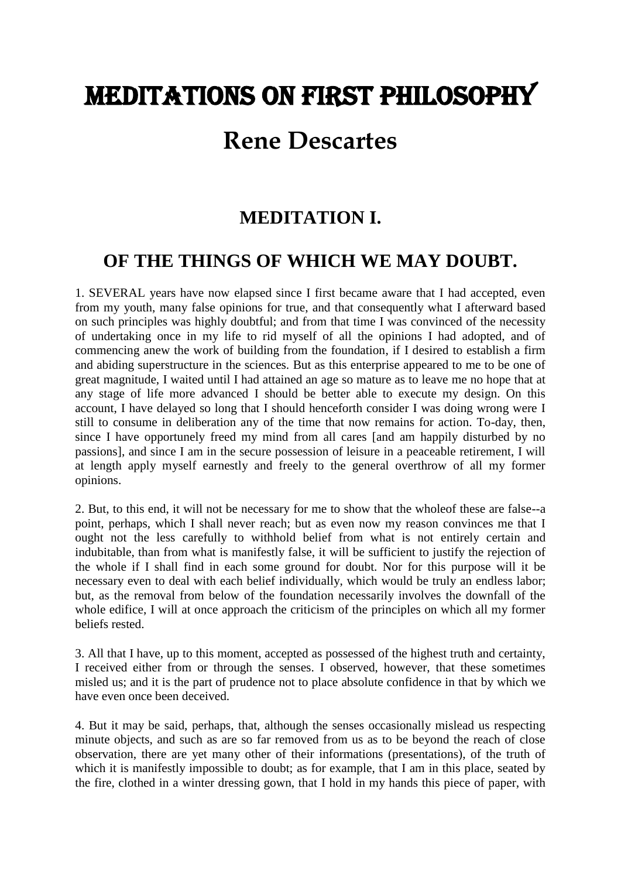## MEDITATIONS ON FIRST PHILOSOPHY

## **Rene Descartes**

#### **MEDITATION I.**

#### **OF THE THINGS OF WHICH WE MAY DOUBT.**

1. SEVERAL years have now elapsed since I first became aware that I had accepted, even from my youth, many false opinions for true, and that consequently what I afterward based on such principles was highly doubtful; and from that time I was convinced of the necessity of undertaking once in my life to rid myself of all the opinions I had adopted, and of commencing anew the work of building from the foundation, if I desired to establish a firm and abiding superstructure in the sciences. But as this enterprise appeared to me to be one of great magnitude, I waited until I had attained an age so mature as to leave me no hope that at any stage of life more advanced I should be better able to execute my design. On this account, I have delayed so long that I should henceforth consider I was doing wrong were I still to consume in deliberation any of the time that now remains for action. To-day, then, since I have opportunely freed my mind from all cares [and am happily disturbed by no passions], and since I am in the secure possession of leisure in a peaceable retirement, I will at length apply myself earnestly and freely to the general overthrow of all my former opinions.

2. But, to this end, it will not be necessary for me to show that the wholeof these are false--a point, perhaps, which I shall never reach; but as even now my reason convinces me that I ought not the less carefully to withhold belief from what is not entirely certain and indubitable, than from what is manifestly false, it will be sufficient to justify the rejection of the whole if I shall find in each some ground for doubt. Nor for this purpose will it be necessary even to deal with each belief individually, which would be truly an endless labor; but, as the removal from below of the foundation necessarily involves the downfall of the whole edifice, I will at once approach the criticism of the principles on which all my former beliefs rested.

3. All that I have, up to this moment, accepted as possessed of the highest truth and certainty, I received either from or through the senses. I observed, however, that these sometimes misled us; and it is the part of prudence not to place absolute confidence in that by which we have even once been deceived.

4. But it may be said, perhaps, that, although the senses occasionally mislead us respecting minute objects, and such as are so far removed from us as to be beyond the reach of close observation, there are yet many other of their informations (presentations), of the truth of which it is manifestly impossible to doubt; as for example, that I am in this place, seated by the fire, clothed in a winter dressing gown, that I hold in my hands this piece of paper, with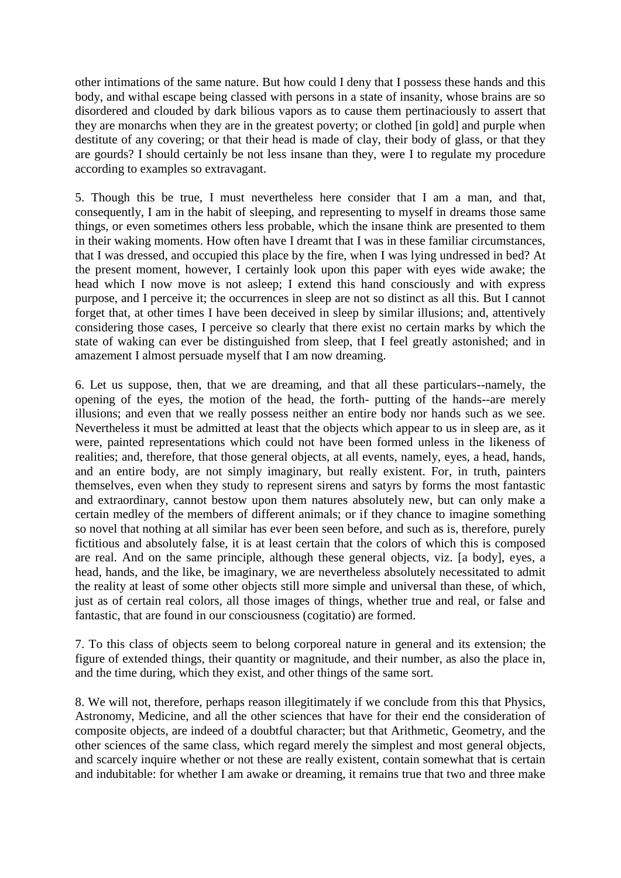other intimations of the same nature. But how could I deny that I possess these hands and this body, and withal escape being classed with persons in a state of insanity, whose brains are so disordered and clouded by dark bilious vapors as to cause them pertinaciously to assert that they are monarchs when they are in the greatest poverty; or clothed [in gold] and purple when destitute of any covering; or that their head is made of clay, their body of glass, or that they are gourds? I should certainly be not less insane than they, were I to regulate my procedure according to examples so extravagant.

5. Though this be true, I must nevertheless here consider that I am a man, and that, consequently, I am in the habit of sleeping, and representing to myself in dreams those same things, or even sometimes others less probable, which the insane think are presented to them in their waking moments. How often have I dreamt that I was in these familiar circumstances, that I was dressed, and occupied this place by the fire, when I was lying undressed in bed? At the present moment, however, I certainly look upon this paper with eyes wide awake; the head which I now move is not asleep; I extend this hand consciously and with express purpose, and I perceive it; the occurrences in sleep are not so distinct as all this. But I cannot forget that, at other times I have been deceived in sleep by similar illusions; and, attentively considering those cases, I perceive so clearly that there exist no certain marks by which the state of waking can ever be distinguished from sleep, that I feel greatly astonished; and in amazement I almost persuade myself that I am now dreaming.

6. Let us suppose, then, that we are dreaming, and that all these particulars--namely, the opening of the eyes, the motion of the head, the forth- putting of the hands--are merely illusions; and even that we really possess neither an entire body nor hands such as we see. Nevertheless it must be admitted at least that the objects which appear to us in sleep are, as it were, painted representations which could not have been formed unless in the likeness of realities; and, therefore, that those general objects, at all events, namely, eyes, a head, hands, and an entire body, are not simply imaginary, but really existent. For, in truth, painters themselves, even when they study to represent sirens and satyrs by forms the most fantastic and extraordinary, cannot bestow upon them natures absolutely new, but can only make a certain medley of the members of different animals; or if they chance to imagine something so novel that nothing at all similar has ever been seen before, and such as is, therefore, purely fictitious and absolutely false, it is at least certain that the colors of which this is composed are real. And on the same principle, although these general objects, viz. [a body], eyes, a head, hands, and the like, be imaginary, we are nevertheless absolutely necessitated to admit the reality at least of some other objects still more simple and universal than these, of which, just as of certain real colors, all those images of things, whether true and real, or false and fantastic, that are found in our consciousness (cogitatio) are formed.

7. To this class of objects seem to belong corporeal nature in general and its extension; the figure of extended things, their quantity or magnitude, and their number, as also the place in, and the time during, which they exist, and other things of the same sort.

8. We will not, therefore, perhaps reason illegitimately if we conclude from this that Physics, Astronomy, Medicine, and all the other sciences that have for their end the consideration of composite objects, are indeed of a doubtful character; but that Arithmetic, Geometry, and the other sciences of the same class, which regard merely the simplest and most general objects, and scarcely inquire whether or not these are really existent, contain somewhat that is certain and indubitable: for whether I am awake or dreaming, it remains true that two and three make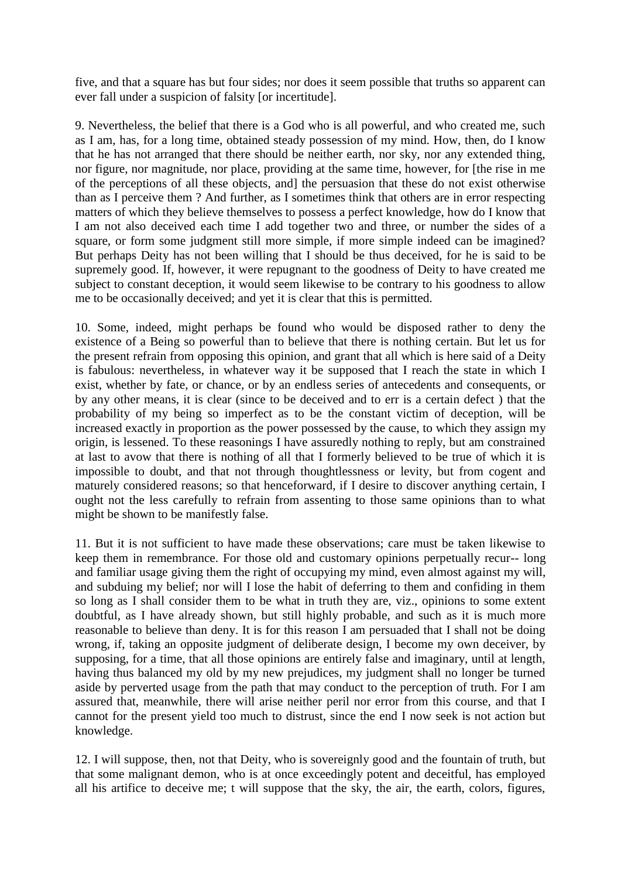five, and that a square has but four sides; nor does it seem possible that truths so apparent can ever fall under a suspicion of falsity [or incertitude].

9. Nevertheless, the belief that there is a God who is all powerful, and who created me, such as I am, has, for a long time, obtained steady possession of my mind. How, then, do I know that he has not arranged that there should be neither earth, nor sky, nor any extended thing, nor figure, nor magnitude, nor place, providing at the same time, however, for [the rise in me of the perceptions of all these objects, and] the persuasion that these do not exist otherwise than as I perceive them ? And further, as I sometimes think that others are in error respecting matters of which they believe themselves to possess a perfect knowledge, how do I know that I am not also deceived each time I add together two and three, or number the sides of a square, or form some judgment still more simple, if more simple indeed can be imagined? But perhaps Deity has not been willing that I should be thus deceived, for he is said to be supremely good. If, however, it were repugnant to the goodness of Deity to have created me subject to constant deception, it would seem likewise to be contrary to his goodness to allow me to be occasionally deceived; and yet it is clear that this is permitted.

10. Some, indeed, might perhaps be found who would be disposed rather to deny the existence of a Being so powerful than to believe that there is nothing certain. But let us for the present refrain from opposing this opinion, and grant that all which is here said of a Deity is fabulous: nevertheless, in whatever way it be supposed that I reach the state in which I exist, whether by fate, or chance, or by an endless series of antecedents and consequents, or by any other means, it is clear (since to be deceived and to err is a certain defect ) that the probability of my being so imperfect as to be the constant victim of deception, will be increased exactly in proportion as the power possessed by the cause, to which they assign my origin, is lessened. To these reasonings I have assuredly nothing to reply, but am constrained at last to avow that there is nothing of all that I formerly believed to be true of which it is impossible to doubt, and that not through thoughtlessness or levity, but from cogent and maturely considered reasons; so that henceforward, if I desire to discover anything certain, I ought not the less carefully to refrain from assenting to those same opinions than to what might be shown to be manifestly false.

11. But it is not sufficient to have made these observations; care must be taken likewise to keep them in remembrance. For those old and customary opinions perpetually recur-- long and familiar usage giving them the right of occupying my mind, even almost against my will, and subduing my belief; nor will I lose the habit of deferring to them and confiding in them so long as I shall consider them to be what in truth they are, viz., opinions to some extent doubtful, as I have already shown, but still highly probable, and such as it is much more reasonable to believe than deny. It is for this reason I am persuaded that I shall not be doing wrong, if, taking an opposite judgment of deliberate design, I become my own deceiver, by supposing, for a time, that all those opinions are entirely false and imaginary, until at length, having thus balanced my old by my new prejudices, my judgment shall no longer be turned aside by perverted usage from the path that may conduct to the perception of truth. For I am assured that, meanwhile, there will arise neither peril nor error from this course, and that I cannot for the present yield too much to distrust, since the end I now seek is not action but knowledge.

12. I will suppose, then, not that Deity, who is sovereignly good and the fountain of truth, but that some malignant demon, who is at once exceedingly potent and deceitful, has employed all his artifice to deceive me; t will suppose that the sky, the air, the earth, colors, figures,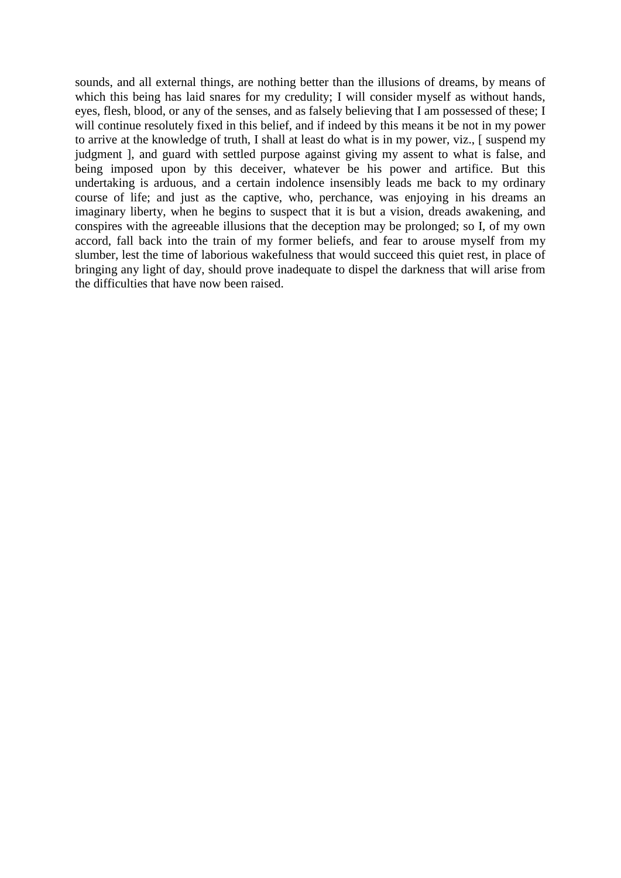sounds, and all external things, are nothing better than the illusions of dreams, by means of which this being has laid snares for my credulity; I will consider myself as without hands, eyes, flesh, blood, or any of the senses, and as falsely believing that I am possessed of these; I will continue resolutely fixed in this belief, and if indeed by this means it be not in my power to arrive at the knowledge of truth, I shall at least do what is in my power, viz., [ suspend my judgment ], and guard with settled purpose against giving my assent to what is false, and being imposed upon by this deceiver, whatever be his power and artifice. But this undertaking is arduous, and a certain indolence insensibly leads me back to my ordinary course of life; and just as the captive, who, perchance, was enjoying in his dreams an imaginary liberty, when he begins to suspect that it is but a vision, dreads awakening, and conspires with the agreeable illusions that the deception may be prolonged; so I, of my own accord, fall back into the train of my former beliefs, and fear to arouse myself from my slumber, lest the time of laborious wakefulness that would succeed this quiet rest, in place of bringing any light of day, should prove inadequate to dispel the darkness that will arise from the difficulties that have now been raised.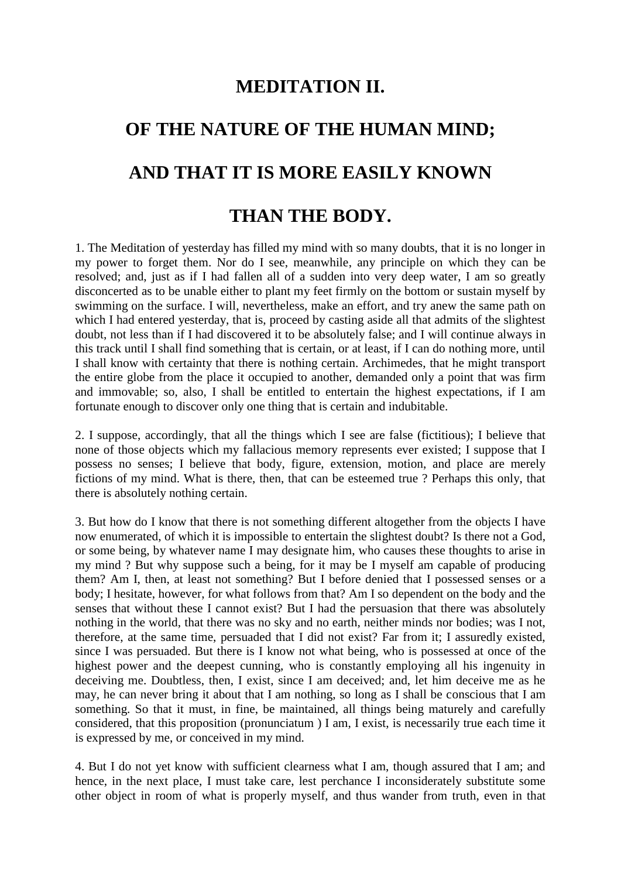#### **MEDITATION II.**

# **OF THE NATURE OF THE HUMAN MIND; AND THAT IT IS MORE EASILY KNOWN THAN THE BODY.**

1. The Meditation of yesterday has filled my mind with so many doubts, that it is no longer in my power to forget them. Nor do I see, meanwhile, any principle on which they can be resolved; and, just as if I had fallen all of a sudden into very deep water, I am so greatly disconcerted as to be unable either to plant my feet firmly on the bottom or sustain myself by swimming on the surface. I will, nevertheless, make an effort, and try anew the same path on which I had entered yesterday, that is, proceed by casting aside all that admits of the slightest doubt, not less than if I had discovered it to be absolutely false; and I will continue always in this track until I shall find something that is certain, or at least, if I can do nothing more, until I shall know with certainty that there is nothing certain. Archimedes, that he might transport the entire globe from the place it occupied to another, demanded only a point that was firm and immovable; so, also, I shall be entitled to entertain the highest expectations, if I am fortunate enough to discover only one thing that is certain and indubitable.

2. I suppose, accordingly, that all the things which I see are false (fictitious); I believe that none of those objects which my fallacious memory represents ever existed; I suppose that I possess no senses; I believe that body, figure, extension, motion, and place are merely fictions of my mind. What is there, then, that can be esteemed true ? Perhaps this only, that there is absolutely nothing certain.

3. But how do I know that there is not something different altogether from the objects I have now enumerated, of which it is impossible to entertain the slightest doubt? Is there not a God, or some being, by whatever name I may designate him, who causes these thoughts to arise in my mind ? But why suppose such a being, for it may be I myself am capable of producing them? Am I, then, at least not something? But I before denied that I possessed senses or a body; I hesitate, however, for what follows from that? Am I so dependent on the body and the senses that without these I cannot exist? But I had the persuasion that there was absolutely nothing in the world, that there was no sky and no earth, neither minds nor bodies; was I not, therefore, at the same time, persuaded that I did not exist? Far from it; I assuredly existed, since I was persuaded. But there is I know not what being, who is possessed at once of the highest power and the deepest cunning, who is constantly employing all his ingenuity in deceiving me. Doubtless, then, I exist, since I am deceived; and, let him deceive me as he may, he can never bring it about that I am nothing, so long as I shall be conscious that I am something. So that it must, in fine, be maintained, all things being maturely and carefully considered, that this proposition (pronunciatum ) I am, I exist, is necessarily true each time it is expressed by me, or conceived in my mind.

4. But I do not yet know with sufficient clearness what I am, though assured that I am; and hence, in the next place, I must take care, lest perchance I inconsiderately substitute some other object in room of what is properly myself, and thus wander from truth, even in that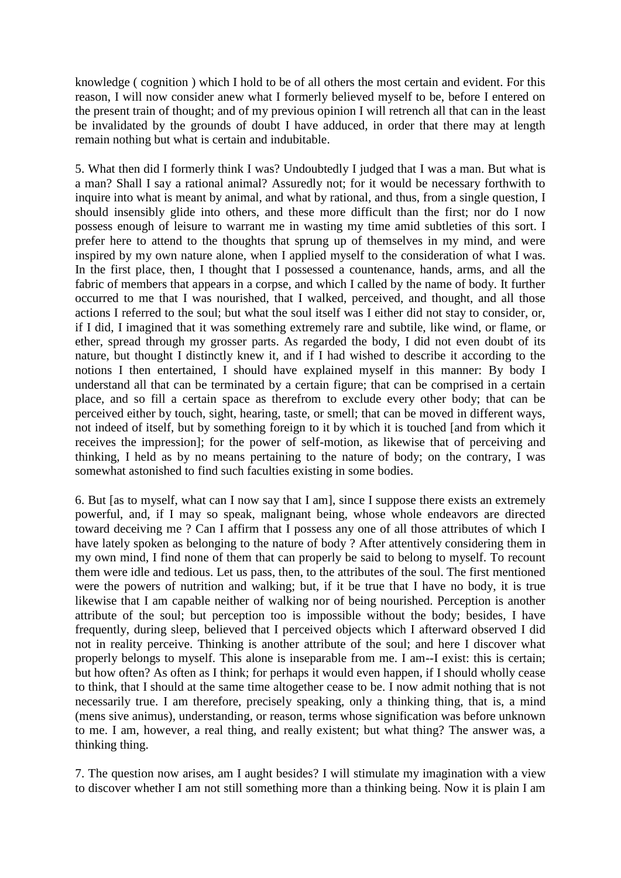knowledge ( cognition ) which I hold to be of all others the most certain and evident. For this reason, I will now consider anew what I formerly believed myself to be, before I entered on the present train of thought; and of my previous opinion I will retrench all that can in the least be invalidated by the grounds of doubt I have adduced, in order that there may at length remain nothing but what is certain and indubitable.

5. What then did I formerly think I was? Undoubtedly I judged that I was a man. But what is a man? Shall I say a rational animal? Assuredly not; for it would be necessary forthwith to inquire into what is meant by animal, and what by rational, and thus, from a single question, I should insensibly glide into others, and these more difficult than the first; nor do I now possess enough of leisure to warrant me in wasting my time amid subtleties of this sort. I prefer here to attend to the thoughts that sprung up of themselves in my mind, and were inspired by my own nature alone, when I applied myself to the consideration of what I was. In the first place, then, I thought that I possessed a countenance, hands, arms, and all the fabric of members that appears in a corpse, and which I called by the name of body. It further occurred to me that I was nourished, that I walked, perceived, and thought, and all those actions I referred to the soul; but what the soul itself was I either did not stay to consider, or, if I did, I imagined that it was something extremely rare and subtile, like wind, or flame, or ether, spread through my grosser parts. As regarded the body, I did not even doubt of its nature, but thought I distinctly knew it, and if I had wished to describe it according to the notions I then entertained, I should have explained myself in this manner: By body I understand all that can be terminated by a certain figure; that can be comprised in a certain place, and so fill a certain space as therefrom to exclude every other body; that can be perceived either by touch, sight, hearing, taste, or smell; that can be moved in different ways, not indeed of itself, but by something foreign to it by which it is touched [and from which it receives the impression]; for the power of self-motion, as likewise that of perceiving and thinking, I held as by no means pertaining to the nature of body; on the contrary, I was somewhat astonished to find such faculties existing in some bodies.

6. But [as to myself, what can I now say that I am], since I suppose there exists an extremely powerful, and, if I may so speak, malignant being, whose whole endeavors are directed toward deceiving me ? Can I affirm that I possess any one of all those attributes of which I have lately spoken as belonging to the nature of body ? After attentively considering them in my own mind, I find none of them that can properly be said to belong to myself. To recount them were idle and tedious. Let us pass, then, to the attributes of the soul. The first mentioned were the powers of nutrition and walking; but, if it be true that I have no body, it is true likewise that I am capable neither of walking nor of being nourished. Perception is another attribute of the soul; but perception too is impossible without the body; besides, I have frequently, during sleep, believed that I perceived objects which I afterward observed I did not in reality perceive. Thinking is another attribute of the soul; and here I discover what properly belongs to myself. This alone is inseparable from me. I am--I exist: this is certain; but how often? As often as I think; for perhaps it would even happen, if I should wholly cease to think, that I should at the same time altogether cease to be. I now admit nothing that is not necessarily true. I am therefore, precisely speaking, only a thinking thing, that is, a mind (mens sive animus), understanding, or reason, terms whose signification was before unknown to me. I am, however, a real thing, and really existent; but what thing? The answer was, a thinking thing.

7. The question now arises, am I aught besides? I will stimulate my imagination with a view to discover whether I am not still something more than a thinking being. Now it is plain I am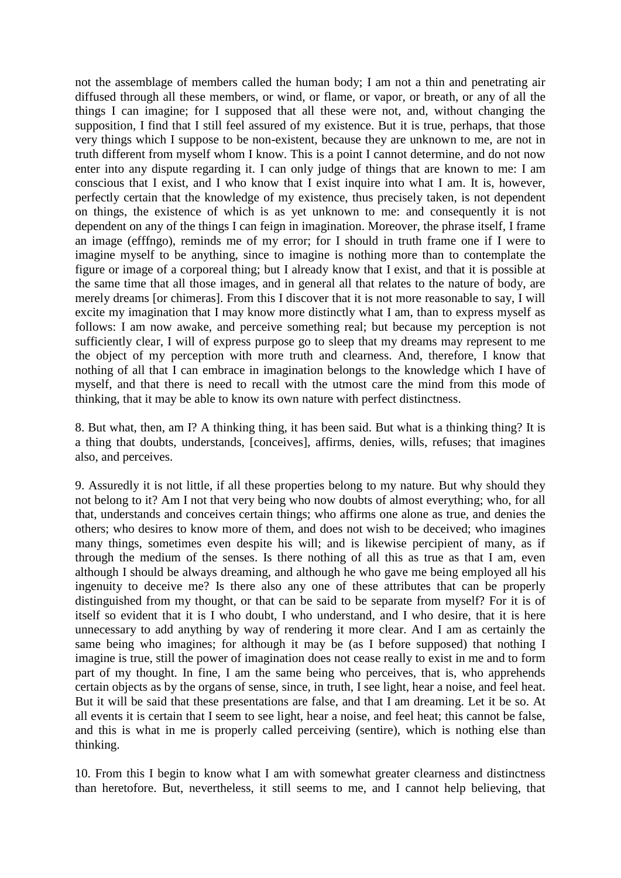not the assemblage of members called the human body; I am not a thin and penetrating air diffused through all these members, or wind, or flame, or vapor, or breath, or any of all the things I can imagine; for I supposed that all these were not, and, without changing the supposition, I find that I still feel assured of my existence. But it is true, perhaps, that those very things which I suppose to be non-existent, because they are unknown to me, are not in truth different from myself whom I know. This is a point I cannot determine, and do not now enter into any dispute regarding it. I can only judge of things that are known to me: I am conscious that I exist, and I who know that I exist inquire into what I am. It is, however, perfectly certain that the knowledge of my existence, thus precisely taken, is not dependent on things, the existence of which is as yet unknown to me: and consequently it is not dependent on any of the things I can feign in imagination. Moreover, the phrase itself, I frame an image (efffngo), reminds me of my error; for I should in truth frame one if I were to imagine myself to be anything, since to imagine is nothing more than to contemplate the figure or image of a corporeal thing; but I already know that I exist, and that it is possible at the same time that all those images, and in general all that relates to the nature of body, are merely dreams [or chimeras]. From this I discover that it is not more reasonable to say, I will excite my imagination that I may know more distinctly what I am, than to express myself as follows: I am now awake, and perceive something real; but because my perception is not sufficiently clear, I will of express purpose go to sleep that my dreams may represent to me the object of my perception with more truth and clearness. And, therefore, I know that nothing of all that I can embrace in imagination belongs to the knowledge which I have of myself, and that there is need to recall with the utmost care the mind from this mode of thinking, that it may be able to know its own nature with perfect distinctness.

8. But what, then, am I? A thinking thing, it has been said. But what is a thinking thing? It is a thing that doubts, understands, [conceives], affirms, denies, wills, refuses; that imagines also, and perceives.

9. Assuredly it is not little, if all these properties belong to my nature. But why should they not belong to it? Am I not that very being who now doubts of almost everything; who, for all that, understands and conceives certain things; who affirms one alone as true, and denies the others; who desires to know more of them, and does not wish to be deceived; who imagines many things, sometimes even despite his will; and is likewise percipient of many, as if through the medium of the senses. Is there nothing of all this as true as that I am, even although I should be always dreaming, and although he who gave me being employed all his ingenuity to deceive me? Is there also any one of these attributes that can be properly distinguished from my thought, or that can be said to be separate from myself? For it is of itself so evident that it is I who doubt, I who understand, and I who desire, that it is here unnecessary to add anything by way of rendering it more clear. And I am as certainly the same being who imagines; for although it may be (as I before supposed) that nothing I imagine is true, still the power of imagination does not cease really to exist in me and to form part of my thought. In fine, I am the same being who perceives, that is, who apprehends certain objects as by the organs of sense, since, in truth, I see light, hear a noise, and feel heat. But it will be said that these presentations are false, and that I am dreaming. Let it be so. At all events it is certain that I seem to see light, hear a noise, and feel heat; this cannot be false, and this is what in me is properly called perceiving (sentire), which is nothing else than thinking.

10. From this I begin to know what I am with somewhat greater clearness and distinctness than heretofore. But, nevertheless, it still seems to me, and I cannot help believing, that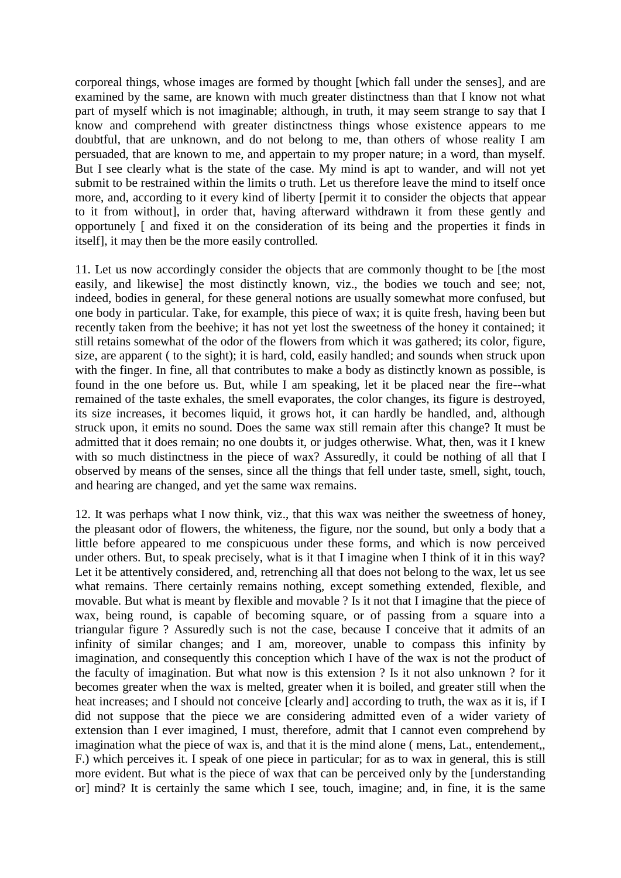corporeal things, whose images are formed by thought [which fall under the senses], and are examined by the same, are known with much greater distinctness than that I know not what part of myself which is not imaginable; although, in truth, it may seem strange to say that I know and comprehend with greater distinctness things whose existence appears to me doubtful, that are unknown, and do not belong to me, than others of whose reality I am persuaded, that are known to me, and appertain to my proper nature; in a word, than myself. But I see clearly what is the state of the case. My mind is apt to wander, and will not yet submit to be restrained within the limits o truth. Let us therefore leave the mind to itself once more, and, according to it every kind of liberty [permit it to consider the objects that appear to it from without], in order that, having afterward withdrawn it from these gently and opportunely [ and fixed it on the consideration of its being and the properties it finds in itself], it may then be the more easily controlled.

11. Let us now accordingly consider the objects that are commonly thought to be [the most easily, and likewise] the most distinctly known, viz., the bodies we touch and see; not, indeed, bodies in general, for these general notions are usually somewhat more confused, but one body in particular. Take, for example, this piece of wax; it is quite fresh, having been but recently taken from the beehive; it has not yet lost the sweetness of the honey it contained; it still retains somewhat of the odor of the flowers from which it was gathered; its color, figure, size, are apparent ( to the sight); it is hard, cold, easily handled; and sounds when struck upon with the finger. In fine, all that contributes to make a body as distinctly known as possible, is found in the one before us. But, while I am speaking, let it be placed near the fire--what remained of the taste exhales, the smell evaporates, the color changes, its figure is destroyed, its size increases, it becomes liquid, it grows hot, it can hardly be handled, and, although struck upon, it emits no sound. Does the same wax still remain after this change? It must be admitted that it does remain; no one doubts it, or judges otherwise. What, then, was it I knew with so much distinctness in the piece of wax? Assuredly, it could be nothing of all that I observed by means of the senses, since all the things that fell under taste, smell, sight, touch, and hearing are changed, and yet the same wax remains.

12. It was perhaps what I now think, viz., that this wax was neither the sweetness of honey, the pleasant odor of flowers, the whiteness, the figure, nor the sound, but only a body that a little before appeared to me conspicuous under these forms, and which is now perceived under others. But, to speak precisely, what is it that I imagine when I think of it in this way? Let it be attentively considered, and, retrenching all that does not belong to the wax, let us see what remains. There certainly remains nothing, except something extended, flexible, and movable. But what is meant by flexible and movable ? Is it not that I imagine that the piece of wax, being round, is capable of becoming square, or of passing from a square into a triangular figure ? Assuredly such is not the case, because I conceive that it admits of an infinity of similar changes; and I am, moreover, unable to compass this infinity by imagination, and consequently this conception which I have of the wax is not the product of the faculty of imagination. But what now is this extension ? Is it not also unknown ? for it becomes greater when the wax is melted, greater when it is boiled, and greater still when the heat increases; and I should not conceive [clearly and] according to truth, the wax as it is, if I did not suppose that the piece we are considering admitted even of a wider variety of extension than I ever imagined, I must, therefore, admit that I cannot even comprehend by imagination what the piece of wax is, and that it is the mind alone (mens, Lat., entendement,, F.) which perceives it. I speak of one piece in particular; for as to wax in general, this is still more evident. But what is the piece of wax that can be perceived only by the [understanding or] mind? It is certainly the same which I see, touch, imagine; and, in fine, it is the same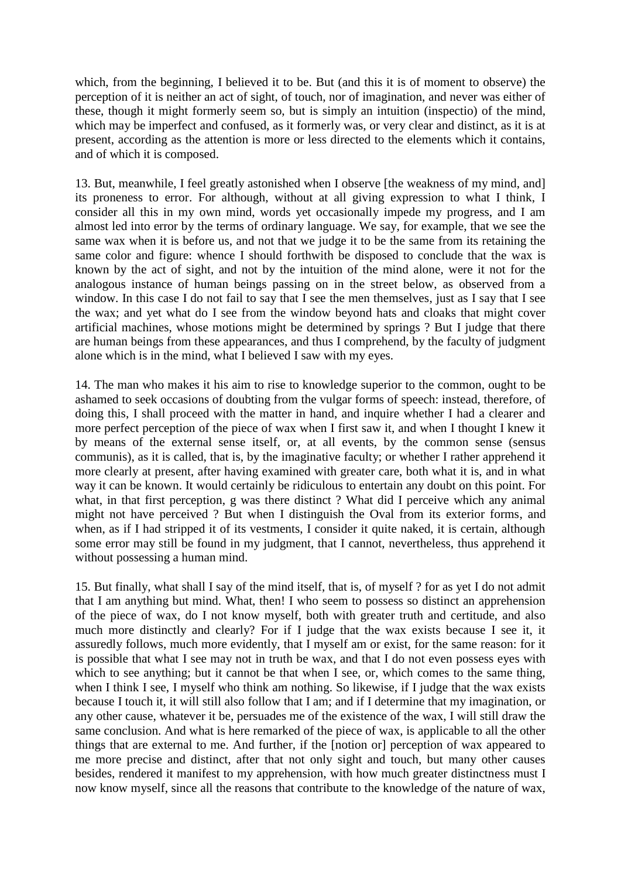which, from the beginning, I believed it to be. But (and this it is of moment to observe) the perception of it is neither an act of sight, of touch, nor of imagination, and never was either of these, though it might formerly seem so, but is simply an intuition (inspectio) of the mind, which may be imperfect and confused, as it formerly was, or very clear and distinct, as it is at present, according as the attention is more or less directed to the elements which it contains, and of which it is composed.

13. But, meanwhile, I feel greatly astonished when I observe [the weakness of my mind, and] its proneness to error. For although, without at all giving expression to what I think, I consider all this in my own mind, words yet occasionally impede my progress, and I am almost led into error by the terms of ordinary language. We say, for example, that we see the same wax when it is before us, and not that we judge it to be the same from its retaining the same color and figure: whence I should forthwith be disposed to conclude that the wax is known by the act of sight, and not by the intuition of the mind alone, were it not for the analogous instance of human beings passing on in the street below, as observed from a window. In this case I do not fail to say that I see the men themselves, just as I say that I see the wax; and yet what do I see from the window beyond hats and cloaks that might cover artificial machines, whose motions might be determined by springs ? But I judge that there are human beings from these appearances, and thus I comprehend, by the faculty of judgment alone which is in the mind, what I believed I saw with my eyes.

14. The man who makes it his aim to rise to knowledge superior to the common, ought to be ashamed to seek occasions of doubting from the vulgar forms of speech: instead, therefore, of doing this, I shall proceed with the matter in hand, and inquire whether I had a clearer and more perfect perception of the piece of wax when I first saw it, and when I thought I knew it by means of the external sense itself, or, at all events, by the common sense (sensus communis), as it is called, that is, by the imaginative faculty; or whether I rather apprehend it more clearly at present, after having examined with greater care, both what it is, and in what way it can be known. It would certainly be ridiculous to entertain any doubt on this point. For what, in that first perception, g was there distinct ? What did I perceive which any animal might not have perceived ? But when I distinguish the Oval from its exterior forms, and when, as if I had stripped it of its vestments, I consider it quite naked, it is certain, although some error may still be found in my judgment, that I cannot, nevertheless, thus apprehend it without possessing a human mind.

15. But finally, what shall I say of the mind itself, that is, of myself ? for as yet I do not admit that I am anything but mind. What, then! I who seem to possess so distinct an apprehension of the piece of wax, do I not know myself, both with greater truth and certitude, and also much more distinctly and clearly? For if I judge that the wax exists because I see it, it assuredly follows, much more evidently, that I myself am or exist, for the same reason: for it is possible that what I see may not in truth be wax, and that I do not even possess eyes with which to see anything; but it cannot be that when I see, or, which comes to the same thing, when I think I see, I myself who think am nothing. So likewise, if I judge that the wax exists because I touch it, it will still also follow that I am; and if I determine that my imagination, or any other cause, whatever it be, persuades me of the existence of the wax, I will still draw the same conclusion. And what is here remarked of the piece of wax, is applicable to all the other things that are external to me. And further, if the [notion or] perception of wax appeared to me more precise and distinct, after that not only sight and touch, but many other causes besides, rendered it manifest to my apprehension, with how much greater distinctness must I now know myself, since all the reasons that contribute to the knowledge of the nature of wax,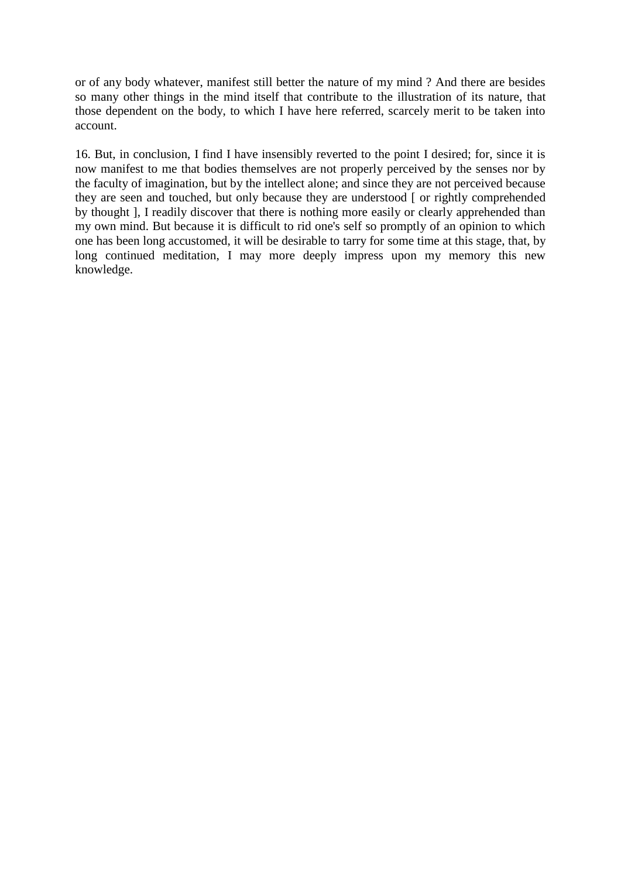or of any body whatever, manifest still better the nature of my mind ? And there are besides so many other things in the mind itself that contribute to the illustration of its nature, that those dependent on the body, to which I have here referred, scarcely merit to be taken into account.

16. But, in conclusion, I find I have insensibly reverted to the point I desired; for, since it is now manifest to me that bodies themselves are not properly perceived by the senses nor by the faculty of imagination, but by the intellect alone; and since they are not perceived because they are seen and touched, but only because they are understood [ or rightly comprehended by thought ], I readily discover that there is nothing more easily or clearly apprehended than my own mind. But because it is difficult to rid one's self so promptly of an opinion to which one has been long accustomed, it will be desirable to tarry for some time at this stage, that, by long continued meditation, I may more deeply impress upon my memory this new knowledge.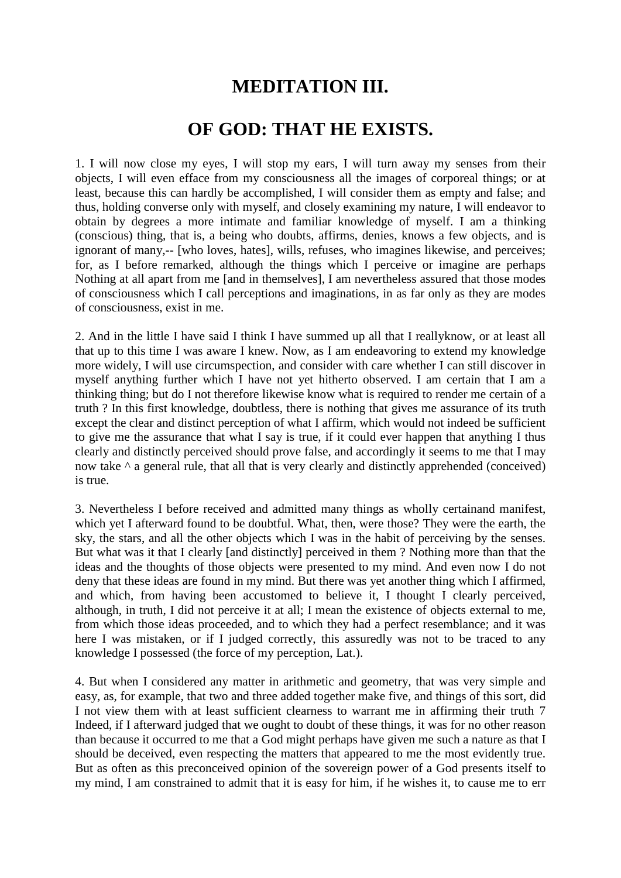#### **MEDITATION III.**

#### **OF GOD: THAT HE EXISTS.**

1. I will now close my eyes, I will stop my ears, I will turn away my senses from their objects, I will even efface from my consciousness all the images of corporeal things; or at least, because this can hardly be accomplished, I will consider them as empty and false; and thus, holding converse only with myself, and closely examining my nature, I will endeavor to obtain by degrees a more intimate and familiar knowledge of myself. I am a thinking (conscious) thing, that is, a being who doubts, affirms, denies, knows a few objects, and is ignorant of many,-- [who loves, hates], wills, refuses, who imagines likewise, and perceives; for, as I before remarked, although the things which I perceive or imagine are perhaps Nothing at all apart from me [and in themselves], I am nevertheless assured that those modes of consciousness which I call perceptions and imaginations, in as far only as they are modes of consciousness, exist in me.

2. And in the little I have said I think I have summed up all that I reallyknow, or at least all that up to this time I was aware I knew. Now, as I am endeavoring to extend my knowledge more widely, I will use circumspection, and consider with care whether I can still discover in myself anything further which I have not yet hitherto observed. I am certain that I am a thinking thing; but do I not therefore likewise know what is required to render me certain of a truth ? In this first knowledge, doubtless, there is nothing that gives me assurance of its truth except the clear and distinct perception of what I affirm, which would not indeed be sufficient to give me the assurance that what I say is true, if it could ever happen that anything I thus clearly and distinctly perceived should prove false, and accordingly it seems to me that I may now take  $\wedge$  a general rule, that all that is very clearly and distinctly apprehended (conceived) is true.

3. Nevertheless I before received and admitted many things as wholly certainand manifest, which yet I afterward found to be doubtful. What, then, were those? They were the earth, the sky, the stars, and all the other objects which I was in the habit of perceiving by the senses. But what was it that I clearly [and distinctly] perceived in them ? Nothing more than that the ideas and the thoughts of those objects were presented to my mind. And even now I do not deny that these ideas are found in my mind. But there was yet another thing which I affirmed, and which, from having been accustomed to believe it, I thought I clearly perceived, although, in truth, I did not perceive it at all; I mean the existence of objects external to me, from which those ideas proceeded, and to which they had a perfect resemblance; and it was here I was mistaken, or if I judged correctly, this assuredly was not to be traced to any knowledge I possessed (the force of my perception, Lat.).

4. But when I considered any matter in arithmetic and geometry, that was very simple and easy, as, for example, that two and three added together make five, and things of this sort, did I not view them with at least sufficient clearness to warrant me in affirming their truth 7 Indeed, if I afterward judged that we ought to doubt of these things, it was for no other reason than because it occurred to me that a God might perhaps have given me such a nature as that I should be deceived, even respecting the matters that appeared to me the most evidently true. But as often as this preconceived opinion of the sovereign power of a God presents itself to my mind, I am constrained to admit that it is easy for him, if he wishes it, to cause me to err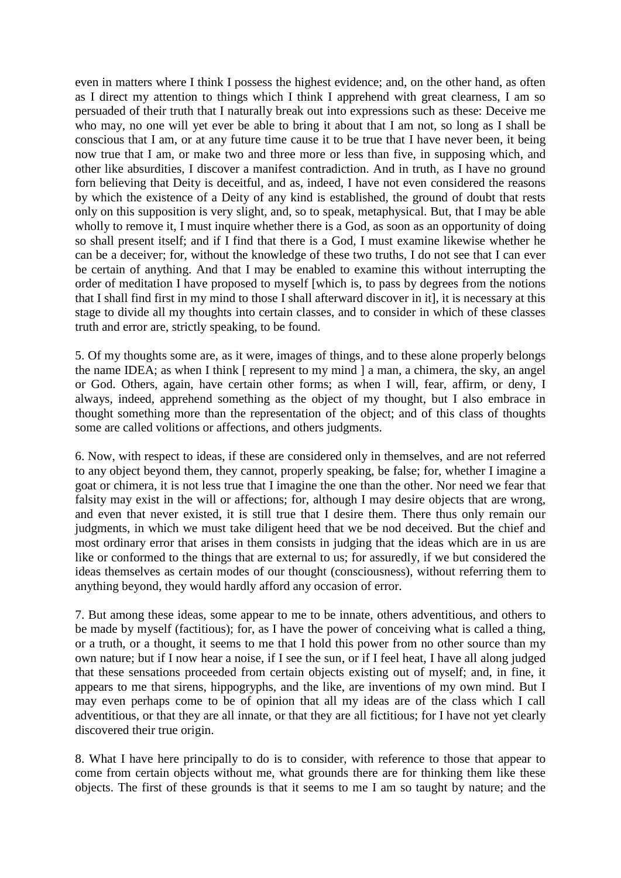even in matters where I think I possess the highest evidence; and, on the other hand, as often as I direct my attention to things which I think I apprehend with great clearness, I am so persuaded of their truth that I naturally break out into expressions such as these: Deceive me who may, no one will yet ever be able to bring it about that I am not, so long as I shall be conscious that I am, or at any future time cause it to be true that I have never been, it being now true that I am, or make two and three more or less than five, in supposing which, and other like absurdities, I discover a manifest contradiction. And in truth, as I have no ground forn believing that Deity is deceitful, and as, indeed, I have not even considered the reasons by which the existence of a Deity of any kind is established, the ground of doubt that rests only on this supposition is very slight, and, so to speak, metaphysical. But, that I may be able wholly to remove it, I must inquire whether there is a God, as soon as an opportunity of doing so shall present itself; and if I find that there is a God, I must examine likewise whether he can be a deceiver; for, without the knowledge of these two truths, I do not see that I can ever be certain of anything. And that I may be enabled to examine this without interrupting the order of meditation I have proposed to myself [which is, to pass by degrees from the notions that I shall find first in my mind to those I shall afterward discover in it], it is necessary at this stage to divide all my thoughts into certain classes, and to consider in which of these classes truth and error are, strictly speaking, to be found.

5. Of my thoughts some are, as it were, images of things, and to these alone properly belongs the name IDEA; as when I think [ represent to my mind ] a man, a chimera, the sky, an angel or God. Others, again, have certain other forms; as when I will, fear, affirm, or deny, I always, indeed, apprehend something as the object of my thought, but I also embrace in thought something more than the representation of the object; and of this class of thoughts some are called volitions or affections, and others judgments.

6. Now, with respect to ideas, if these are considered only in themselves, and are not referred to any object beyond them, they cannot, properly speaking, be false; for, whether I imagine a goat or chimera, it is not less true that I imagine the one than the other. Nor need we fear that falsity may exist in the will or affections; for, although I may desire objects that are wrong, and even that never existed, it is still true that I desire them. There thus only remain our judgments, in which we must take diligent heed that we be nod deceived. But the chief and most ordinary error that arises in them consists in judging that the ideas which are in us are like or conformed to the things that are external to us; for assuredly, if we but considered the ideas themselves as certain modes of our thought (consciousness), without referring them to anything beyond, they would hardly afford any occasion of error.

7. But among these ideas, some appear to me to be innate, others adventitious, and others to be made by myself (factitious); for, as I have the power of conceiving what is called a thing, or a truth, or a thought, it seems to me that I hold this power from no other source than my own nature; but if I now hear a noise, if I see the sun, or if I feel heat, I have all along judged that these sensations proceeded from certain objects existing out of myself; and, in fine, it appears to me that sirens, hippogryphs, and the like, are inventions of my own mind. But I may even perhaps come to be of opinion that all my ideas are of the class which I call adventitious, or that they are all innate, or that they are all fictitious; for I have not yet clearly discovered their true origin.

8. What I have here principally to do is to consider, with reference to those that appear to come from certain objects without me, what grounds there are for thinking them like these objects. The first of these grounds is that it seems to me I am so taught by nature; and the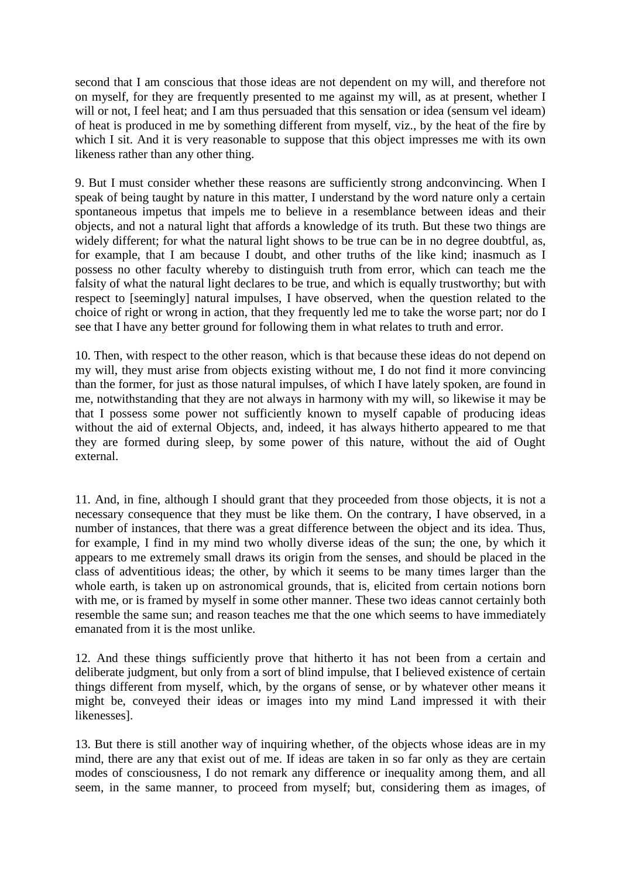second that I am conscious that those ideas are not dependent on my will, and therefore not on myself, for they are frequently presented to me against my will, as at present, whether I will or not. I feel heat: and I am thus persuaded that this sensation or idea (sensum vel ideam) of heat is produced in me by something different from myself, viz., by the heat of the fire by which I sit. And it is very reasonable to suppose that this object impresses me with its own likeness rather than any other thing.

9. But I must consider whether these reasons are sufficiently strong andconvincing. When I speak of being taught by nature in this matter, I understand by the word nature only a certain spontaneous impetus that impels me to believe in a resemblance between ideas and their objects, and not a natural light that affords a knowledge of its truth. But these two things are widely different; for what the natural light shows to be true can be in no degree doubtful, as, for example, that I am because I doubt, and other truths of the like kind; inasmuch as I possess no other faculty whereby to distinguish truth from error, which can teach me the falsity of what the natural light declares to be true, and which is equally trustworthy; but with respect to [seemingly] natural impulses, I have observed, when the question related to the choice of right or wrong in action, that they frequently led me to take the worse part; nor do I see that I have any better ground for following them in what relates to truth and error.

10. Then, with respect to the other reason, which is that because these ideas do not depend on my will, they must arise from objects existing without me, I do not find it more convincing than the former, for just as those natural impulses, of which I have lately spoken, are found in me, notwithstanding that they are not always in harmony with my will, so likewise it may be that I possess some power not sufficiently known to myself capable of producing ideas without the aid of external Objects, and, indeed, it has always hitherto appeared to me that they are formed during sleep, by some power of this nature, without the aid of Ought external.

11. And, in fine, although I should grant that they proceeded from those objects, it is not a necessary consequence that they must be like them. On the contrary, I have observed, in a number of instances, that there was a great difference between the object and its idea. Thus, for example, I find in my mind two wholly diverse ideas of the sun; the one, by which it appears to me extremely small draws its origin from the senses, and should be placed in the class of adventitious ideas; the other, by which it seems to be many times larger than the whole earth, is taken up on astronomical grounds, that is, elicited from certain notions born with me, or is framed by myself in some other manner. These two ideas cannot certainly both resemble the same sun; and reason teaches me that the one which seems to have immediately emanated from it is the most unlike.

12. And these things sufficiently prove that hitherto it has not been from a certain and deliberate judgment, but only from a sort of blind impulse, that I believed existence of certain things different from myself, which, by the organs of sense, or by whatever other means it might be, conveyed their ideas or images into my mind Land impressed it with their likenesses].

13. But there is still another way of inquiring whether, of the objects whose ideas are in my mind, there are any that exist out of me. If ideas are taken in so far only as they are certain modes of consciousness, I do not remark any difference or inequality among them, and all seem, in the same manner, to proceed from myself; but, considering them as images, of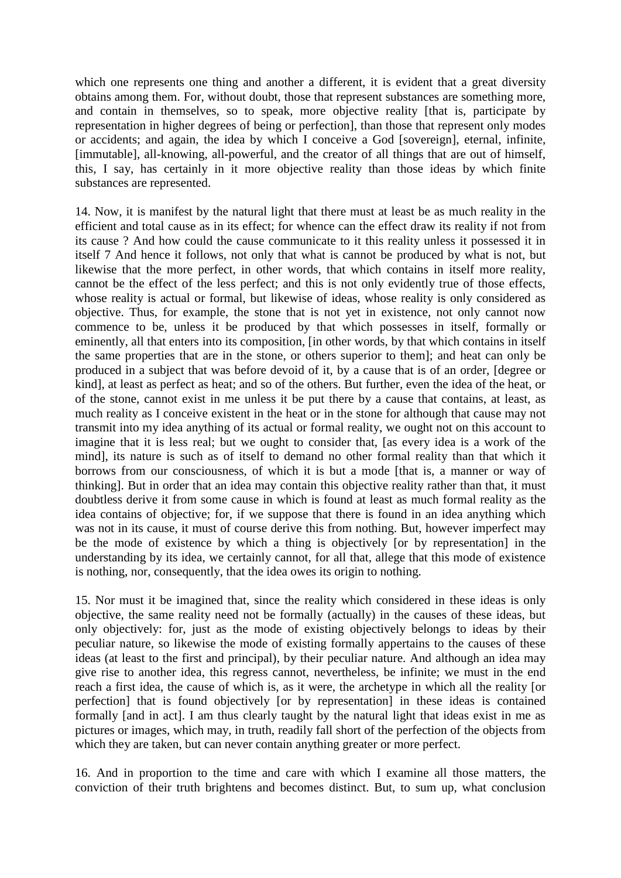which one represents one thing and another a different, it is evident that a great diversity obtains among them. For, without doubt, those that represent substances are something more, and contain in themselves, so to speak, more objective reality [that is, participate by representation in higher degrees of being or perfection], than those that represent only modes or accidents; and again, the idea by which I conceive a God [sovereign], eternal, infinite, [immutable], all-knowing, all-powerful, and the creator of all things that are out of himself, this, I say, has certainly in it more objective reality than those ideas by which finite substances are represented.

14. Now, it is manifest by the natural light that there must at least be as much reality in the efficient and total cause as in its effect; for whence can the effect draw its reality if not from its cause ? And how could the cause communicate to it this reality unless it possessed it in itself 7 And hence it follows, not only that what is cannot be produced by what is not, but likewise that the more perfect, in other words, that which contains in itself more reality, cannot be the effect of the less perfect; and this is not only evidently true of those effects, whose reality is actual or formal, but likewise of ideas, whose reality is only considered as objective. Thus, for example, the stone that is not yet in existence, not only cannot now commence to be, unless it be produced by that which possesses in itself, formally or eminently, all that enters into its composition, [in other words, by that which contains in itself the same properties that are in the stone, or others superior to them]; and heat can only be produced in a subject that was before devoid of it, by a cause that is of an order, [degree or kind], at least as perfect as heat; and so of the others. But further, even the idea of the heat, or of the stone, cannot exist in me unless it be put there by a cause that contains, at least, as much reality as I conceive existent in the heat or in the stone for although that cause may not transmit into my idea anything of its actual or formal reality, we ought not on this account to imagine that it is less real; but we ought to consider that, [as every idea is a work of the mind], its nature is such as of itself to demand no other formal reality than that which it borrows from our consciousness, of which it is but a mode [that is, a manner or way of thinking]. But in order that an idea may contain this objective reality rather than that, it must doubtless derive it from some cause in which is found at least as much formal reality as the idea contains of objective; for, if we suppose that there is found in an idea anything which was not in its cause, it must of course derive this from nothing. But, however imperfect may be the mode of existence by which a thing is objectively [or by representation] in the understanding by its idea, we certainly cannot, for all that, allege that this mode of existence is nothing, nor, consequently, that the idea owes its origin to nothing.

15. Nor must it be imagined that, since the reality which considered in these ideas is only objective, the same reality need not be formally (actually) in the causes of these ideas, but only objectively: for, just as the mode of existing objectively belongs to ideas by their peculiar nature, so likewise the mode of existing formally appertains to the causes of these ideas (at least to the first and principal), by their peculiar nature. And although an idea may give rise to another idea, this regress cannot, nevertheless, be infinite; we must in the end reach a first idea, the cause of which is, as it were, the archetype in which all the reality [or perfection] that is found objectively [or by representation] in these ideas is contained formally [and in act]. I am thus clearly taught by the natural light that ideas exist in me as pictures or images, which may, in truth, readily fall short of the perfection of the objects from which they are taken, but can never contain anything greater or more perfect.

16. And in proportion to the time and care with which I examine all those matters, the conviction of their truth brightens and becomes distinct. But, to sum up, what conclusion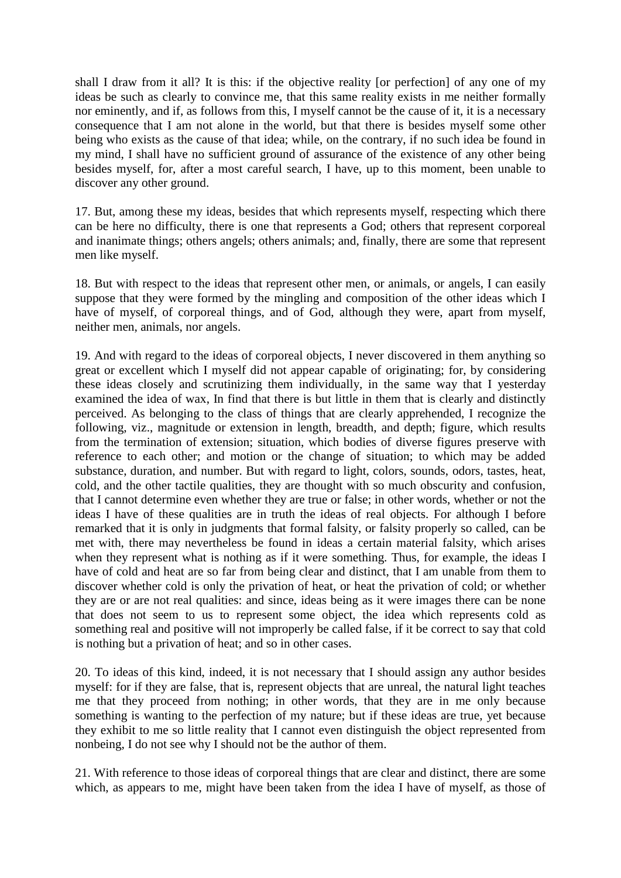shall I draw from it all? It is this: if the objective reality [or perfection] of any one of my ideas be such as clearly to convince me, that this same reality exists in me neither formally nor eminently, and if, as follows from this, I myself cannot be the cause of it, it is a necessary consequence that I am not alone in the world, but that there is besides myself some other being who exists as the cause of that idea; while, on the contrary, if no such idea be found in my mind, I shall have no sufficient ground of assurance of the existence of any other being besides myself, for, after a most careful search, I have, up to this moment, been unable to discover any other ground.

17. But, among these my ideas, besides that which represents myself, respecting which there can be here no difficulty, there is one that represents a God; others that represent corporeal and inanimate things; others angels; others animals; and, finally, there are some that represent men like myself.

18. But with respect to the ideas that represent other men, or animals, or angels, I can easily suppose that they were formed by the mingling and composition of the other ideas which I have of myself, of corporeal things, and of God, although they were, apart from myself, neither men, animals, nor angels.

19. And with regard to the ideas of corporeal objects, I never discovered in them anything so great or excellent which I myself did not appear capable of originating; for, by considering these ideas closely and scrutinizing them individually, in the same way that I yesterday examined the idea of wax, In find that there is but little in them that is clearly and distinctly perceived. As belonging to the class of things that are clearly apprehended, I recognize the following, viz., magnitude or extension in length, breadth, and depth; figure, which results from the termination of extension; situation, which bodies of diverse figures preserve with reference to each other; and motion or the change of situation; to which may be added substance, duration, and number. But with regard to light, colors, sounds, odors, tastes, heat, cold, and the other tactile qualities, they are thought with so much obscurity and confusion, that I cannot determine even whether they are true or false; in other words, whether or not the ideas I have of these qualities are in truth the ideas of real objects. For although I before remarked that it is only in judgments that formal falsity, or falsity properly so called, can be met with, there may nevertheless be found in ideas a certain material falsity, which arises when they represent what is nothing as if it were something. Thus, for example, the ideas I have of cold and heat are so far from being clear and distinct, that I am unable from them to discover whether cold is only the privation of heat, or heat the privation of cold; or whether they are or are not real qualities: and since, ideas being as it were images there can be none that does not seem to us to represent some object, the idea which represents cold as something real and positive will not improperly be called false, if it be correct to say that cold is nothing but a privation of heat; and so in other cases.

20. To ideas of this kind, indeed, it is not necessary that I should assign any author besides myself: for if they are false, that is, represent objects that are unreal, the natural light teaches me that they proceed from nothing; in other words, that they are in me only because something is wanting to the perfection of my nature; but if these ideas are true, yet because they exhibit to me so little reality that I cannot even distinguish the object represented from nonbeing, I do not see why I should not be the author of them.

21. With reference to those ideas of corporeal things that are clear and distinct, there are some which, as appears to me, might have been taken from the idea I have of myself, as those of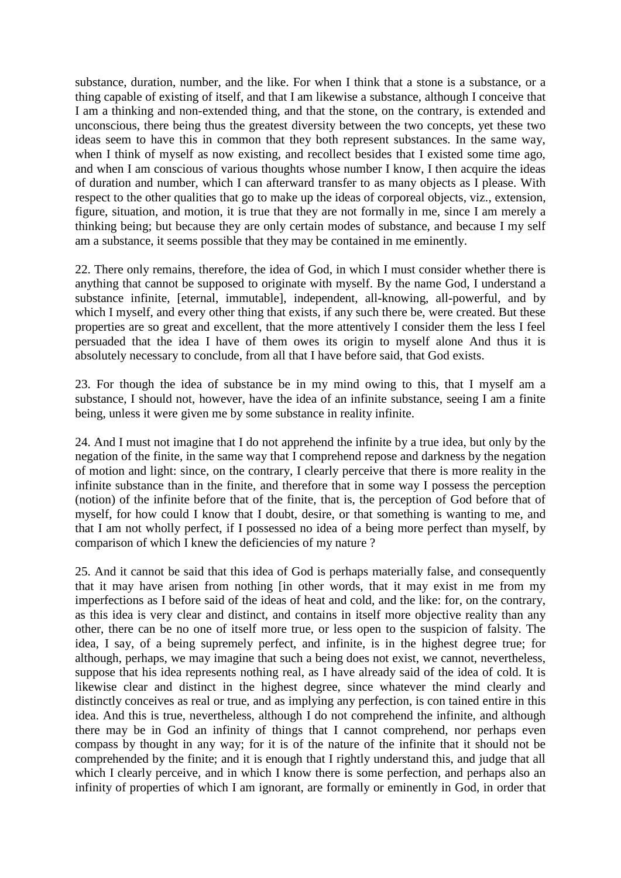substance, duration, number, and the like. For when I think that a stone is a substance, or a thing capable of existing of itself, and that I am likewise a substance, although I conceive that I am a thinking and non-extended thing, and that the stone, on the contrary, is extended and unconscious, there being thus the greatest diversity between the two concepts, yet these two ideas seem to have this in common that they both represent substances. In the same way, when I think of myself as now existing, and recollect besides that I existed some time ago, and when I am conscious of various thoughts whose number I know, I then acquire the ideas of duration and number, which I can afterward transfer to as many objects as I please. With respect to the other qualities that go to make up the ideas of corporeal objects, viz., extension, figure, situation, and motion, it is true that they are not formally in me, since I am merely a thinking being; but because they are only certain modes of substance, and because I my self am a substance, it seems possible that they may be contained in me eminently.

22. There only remains, therefore, the idea of God, in which I must consider whether there is anything that cannot be supposed to originate with myself. By the name God, I understand a substance infinite, [eternal, immutable], independent, all-knowing, all-powerful, and by which I myself, and every other thing that exists, if any such there be, were created. But these properties are so great and excellent, that the more attentively I consider them the less I feel persuaded that the idea I have of them owes its origin to myself alone And thus it is absolutely necessary to conclude, from all that I have before said, that God exists.

23. For though the idea of substance be in my mind owing to this, that I myself am a substance, I should not, however, have the idea of an infinite substance, seeing I am a finite being, unless it were given me by some substance in reality infinite.

24. And I must not imagine that I do not apprehend the infinite by a true idea, but only by the negation of the finite, in the same way that I comprehend repose and darkness by the negation of motion and light: since, on the contrary, I clearly perceive that there is more reality in the infinite substance than in the finite, and therefore that in some way I possess the perception (notion) of the infinite before that of the finite, that is, the perception of God before that of myself, for how could I know that I doubt, desire, or that something is wanting to me, and that I am not wholly perfect, if I possessed no idea of a being more perfect than myself, by comparison of which I knew the deficiencies of my nature ?

25. And it cannot be said that this idea of God is perhaps materially false, and consequently that it may have arisen from nothing [in other words, that it may exist in me from my imperfections as I before said of the ideas of heat and cold, and the like: for, on the contrary, as this idea is very clear and distinct, and contains in itself more objective reality than any other, there can be no one of itself more true, or less open to the suspicion of falsity. The idea, I say, of a being supremely perfect, and infinite, is in the highest degree true; for although, perhaps, we may imagine that such a being does not exist, we cannot, nevertheless, suppose that his idea represents nothing real, as I have already said of the idea of cold. It is likewise clear and distinct in the highest degree, since whatever the mind clearly and distinctly conceives as real or true, and as implying any perfection, is con tained entire in this idea. And this is true, nevertheless, although I do not comprehend the infinite, and although there may be in God an infinity of things that I cannot comprehend, nor perhaps even compass by thought in any way; for it is of the nature of the infinite that it should not be comprehended by the finite; and it is enough that I rightly understand this, and judge that all which I clearly perceive, and in which I know there is some perfection, and perhaps also an infinity of properties of which I am ignorant, are formally or eminently in God, in order that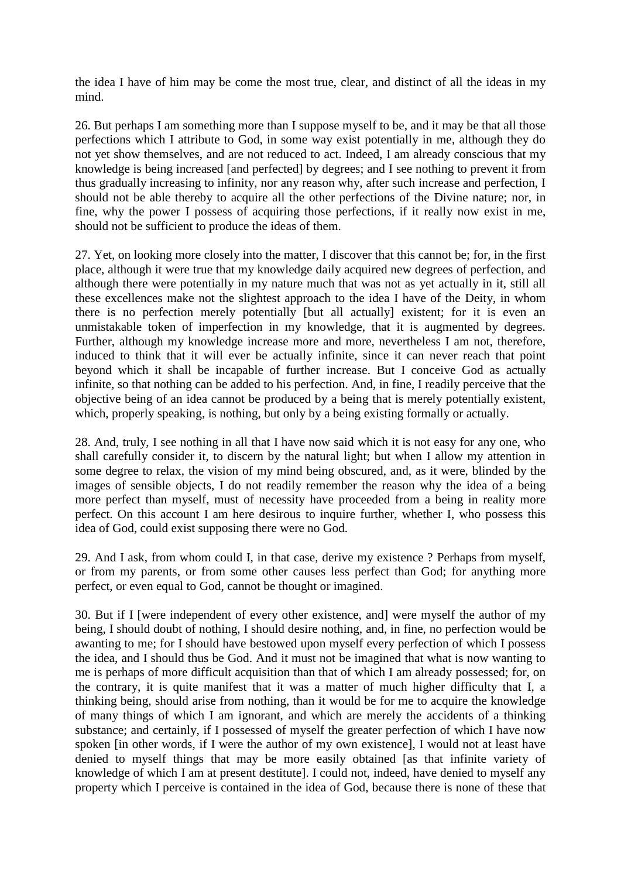the idea I have of him may be come the most true, clear, and distinct of all the ideas in my mind.

26. But perhaps I am something more than I suppose myself to be, and it may be that all those perfections which I attribute to God, in some way exist potentially in me, although they do not yet show themselves, and are not reduced to act. Indeed, I am already conscious that my knowledge is being increased [and perfected] by degrees; and I see nothing to prevent it from thus gradually increasing to infinity, nor any reason why, after such increase and perfection, I should not be able thereby to acquire all the other perfections of the Divine nature; nor, in fine, why the power I possess of acquiring those perfections, if it really now exist in me, should not be sufficient to produce the ideas of them.

27. Yet, on looking more closely into the matter, I discover that this cannot be; for, in the first place, although it were true that my knowledge daily acquired new degrees of perfection, and although there were potentially in my nature much that was not as yet actually in it, still all these excellences make not the slightest approach to the idea I have of the Deity, in whom there is no perfection merely potentially [but all actually] existent; for it is even an unmistakable token of imperfection in my knowledge, that it is augmented by degrees. Further, although my knowledge increase more and more, nevertheless I am not, therefore, induced to think that it will ever be actually infinite, since it can never reach that point beyond which it shall be incapable of further increase. But I conceive God as actually infinite, so that nothing can be added to his perfection. And, in fine, I readily perceive that the objective being of an idea cannot be produced by a being that is merely potentially existent, which, properly speaking, is nothing, but only by a being existing formally or actually.

28. And, truly, I see nothing in all that I have now said which it is not easy for any one, who shall carefully consider it, to discern by the natural light; but when I allow my attention in some degree to relax, the vision of my mind being obscured, and, as it were, blinded by the images of sensible objects, I do not readily remember the reason why the idea of a being more perfect than myself, must of necessity have proceeded from a being in reality more perfect. On this account I am here desirous to inquire further, whether I, who possess this idea of God, could exist supposing there were no God.

29. And I ask, from whom could I, in that case, derive my existence ? Perhaps from myself, or from my parents, or from some other causes less perfect than God; for anything more perfect, or even equal to God, cannot be thought or imagined.

30. But if I [were independent of every other existence, and] were myself the author of my being, I should doubt of nothing, I should desire nothing, and, in fine, no perfection would be awanting to me; for I should have bestowed upon myself every perfection of which I possess the idea, and I should thus be God. And it must not be imagined that what is now wanting to me is perhaps of more difficult acquisition than that of which I am already possessed; for, on the contrary, it is quite manifest that it was a matter of much higher difficulty that I, a thinking being, should arise from nothing, than it would be for me to acquire the knowledge of many things of which I am ignorant, and which are merely the accidents of a thinking substance; and certainly, if I possessed of myself the greater perfection of which I have now spoken [in other words, if I were the author of my own existence], I would not at least have denied to myself things that may be more easily obtained [as that infinite variety of knowledge of which I am at present destitute]. I could not, indeed, have denied to myself any property which I perceive is contained in the idea of God, because there is none of these that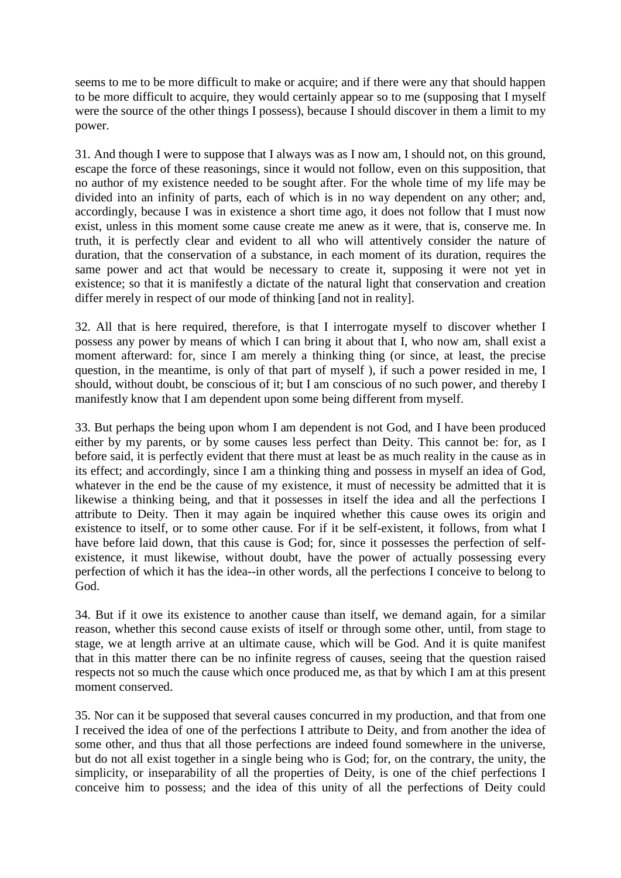seems to me to be more difficult to make or acquire; and if there were any that should happen to be more difficult to acquire, they would certainly appear so to me (supposing that I myself were the source of the other things I possess), because I should discover in them a limit to my power.

31. And though I were to suppose that I always was as I now am, I should not, on this ground, escape the force of these reasonings, since it would not follow, even on this supposition, that no author of my existence needed to be sought after. For the whole time of my life may be divided into an infinity of parts, each of which is in no way dependent on any other; and, accordingly, because I was in existence a short time ago, it does not follow that I must now exist, unless in this moment some cause create me anew as it were, that is, conserve me. In truth, it is perfectly clear and evident to all who will attentively consider the nature of duration, that the conservation of a substance, in each moment of its duration, requires the same power and act that would be necessary to create it, supposing it were not yet in existence; so that it is manifestly a dictate of the natural light that conservation and creation differ merely in respect of our mode of thinking [and not in reality].

32. All that is here required, therefore, is that I interrogate myself to discover whether I possess any power by means of which I can bring it about that I, who now am, shall exist a moment afterward: for, since I am merely a thinking thing (or since, at least, the precise question, in the meantime, is only of that part of myself ), if such a power resided in me, I should, without doubt, be conscious of it; but I am conscious of no such power, and thereby I manifestly know that I am dependent upon some being different from myself.

33. But perhaps the being upon whom I am dependent is not God, and I have been produced either by my parents, or by some causes less perfect than Deity. This cannot be: for, as I before said, it is perfectly evident that there must at least be as much reality in the cause as in its effect; and accordingly, since I am a thinking thing and possess in myself an idea of God, whatever in the end be the cause of my existence, it must of necessity be admitted that it is likewise a thinking being, and that it possesses in itself the idea and all the perfections I attribute to Deity. Then it may again be inquired whether this cause owes its origin and existence to itself, or to some other cause. For if it be self-existent, it follows, from what I have before laid down, that this cause is God; for, since it possesses the perfection of selfexistence, it must likewise, without doubt, have the power of actually possessing every perfection of which it has the idea--in other words, all the perfections I conceive to belong to God.

34. But if it owe its existence to another cause than itself, we demand again, for a similar reason, whether this second cause exists of itself or through some other, until, from stage to stage, we at length arrive at an ultimate cause, which will be God. And it is quite manifest that in this matter there can be no infinite regress of causes, seeing that the question raised respects not so much the cause which once produced me, as that by which I am at this present moment conserved.

35. Nor can it be supposed that several causes concurred in my production, and that from one I received the idea of one of the perfections I attribute to Deity, and from another the idea of some other, and thus that all those perfections are indeed found somewhere in the universe, but do not all exist together in a single being who is God; for, on the contrary, the unity, the simplicity, or inseparability of all the properties of Deity, is one of the chief perfections I conceive him to possess; and the idea of this unity of all the perfections of Deity could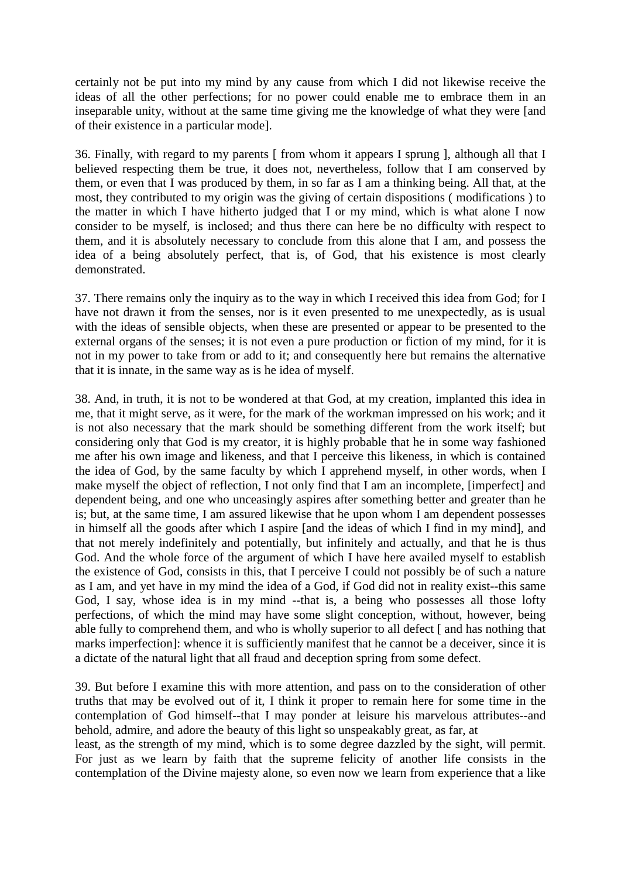certainly not be put into my mind by any cause from which I did not likewise receive the ideas of all the other perfections; for no power could enable me to embrace them in an inseparable unity, without at the same time giving me the knowledge of what they were [and of their existence in a particular mode].

36. Finally, with regard to my parents [ from whom it appears I sprung ], although all that I believed respecting them be true, it does not, nevertheless, follow that I am conserved by them, or even that I was produced by them, in so far as I am a thinking being. All that, at the most, they contributed to my origin was the giving of certain dispositions ( modifications ) to the matter in which I have hitherto judged that I or my mind, which is what alone I now consider to be myself, is inclosed; and thus there can here be no difficulty with respect to them, and it is absolutely necessary to conclude from this alone that I am, and possess the idea of a being absolutely perfect, that is, of God, that his existence is most clearly demonstrated.

37. There remains only the inquiry as to the way in which I received this idea from God; for I have not drawn it from the senses, nor is it even presented to me unexpectedly, as is usual with the ideas of sensible objects, when these are presented or appear to be presented to the external organs of the senses; it is not even a pure production or fiction of my mind, for it is not in my power to take from or add to it; and consequently here but remains the alternative that it is innate, in the same way as is he idea of myself.

38. And, in truth, it is not to be wondered at that God, at my creation, implanted this idea in me, that it might serve, as it were, for the mark of the workman impressed on his work; and it is not also necessary that the mark should be something different from the work itself; but considering only that God is my creator, it is highly probable that he in some way fashioned me after his own image and likeness, and that I perceive this likeness, in which is contained the idea of God, by the same faculty by which I apprehend myself, in other words, when I make myself the object of reflection, I not only find that I am an incomplete, [imperfect] and dependent being, and one who unceasingly aspires after something better and greater than he is; but, at the same time, I am assured likewise that he upon whom I am dependent possesses in himself all the goods after which I aspire [and the ideas of which I find in my mind], and that not merely indefinitely and potentially, but infinitely and actually, and that he is thus God. And the whole force of the argument of which I have here availed myself to establish the existence of God, consists in this, that I perceive I could not possibly be of such a nature as I am, and yet have in my mind the idea of a God, if God did not in reality exist--this same God, I say, whose idea is in my mind --that is, a being who possesses all those lofty perfections, of which the mind may have some slight conception, without, however, being able fully to comprehend them, and who is wholly superior to all defect [ and has nothing that marks imperfection]: whence it is sufficiently manifest that he cannot be a deceiver, since it is a dictate of the natural light that all fraud and deception spring from some defect.

39. But before I examine this with more attention, and pass on to the consideration of other truths that may be evolved out of it, I think it proper to remain here for some time in the contemplation of God himself--that I may ponder at leisure his marvelous attributes--and behold, admire, and adore the beauty of this light so unspeakably great, as far, at

least, as the strength of my mind, which is to some degree dazzled by the sight, will permit. For just as we learn by faith that the supreme felicity of another life consists in the contemplation of the Divine majesty alone, so even now we learn from experience that a like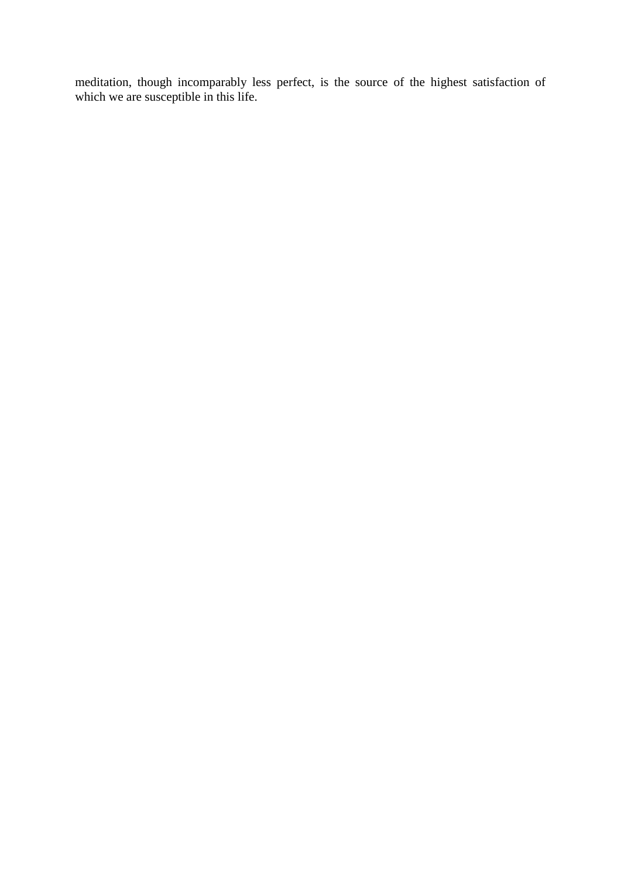meditation, though incomparably less perfect, is the source of the highest satisfaction of which we are susceptible in this life.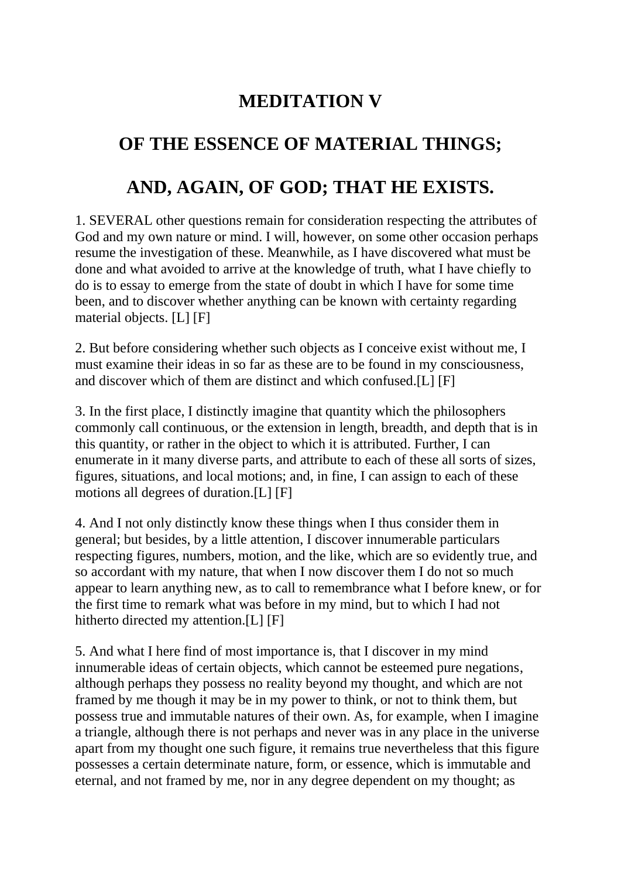### **MEDITATION V**

### **OF THE ESSENCE OF MATERIAL THINGS;**

#### **AND, AGAIN, OF GOD; THAT HE EXISTS.**

1. SEVERAL other questions remain for consideration respecting the attributes of God and my own nature or mind. I will, however, on some other occasion perhaps resume the investigation of these. Meanwhile, as I have discovered what must be done and what avoided to arrive at the knowledge of truth, what I have chiefly to do is to essay to emerge from the state of doubt in which I have for some time been, and to discover whether anything can be known with certainty regarding material objects. [L] [F]

2. But before considering whether such objects as I conceive exist without me, I must examine their ideas in so far as these are to be found in my consciousness, and discover which of them are distinct and which confused.[L] [F]

3. In the first place, I distinctly imagine that quantity which the philosophers commonly call continuous, or the extension in length, breadth, and depth that is in this quantity, or rather in the object to which it is attributed. Further, I can enumerate in it many diverse parts, and attribute to each of these all sorts of sizes, figures, situations, and local motions; and, in fine, I can assign to each of these motions all degrees of duration.[L] [F]

4. And I not only distinctly know these things when I thus consider them in general; but besides, by a little attention, I discover innumerable particulars respecting figures, numbers, motion, and the like, which are so evidently true, and so accordant with my nature, that when I now discover them I do not so much appear to learn anything new, as to call to remembrance what I before knew, or for the first time to remark what was before in my mind, but to which I had not hitherto directed my attention.[L] [F]

5. And what I here find of most importance is, that I discover in my mind innumerable ideas of certain objects, which cannot be esteemed pure negations, although perhaps they possess no reality beyond my thought, and which are not framed by me though it may be in my power to think, or not to think them, but possess true and immutable natures of their own. As, for example, when I imagine a triangle, although there is not perhaps and never was in any place in the universe apart from my thought one such figure, it remains true nevertheless that this figure possesses a certain determinate nature, form, or essence, which is immutable and eternal, and not framed by me, nor in any degree dependent on my thought; as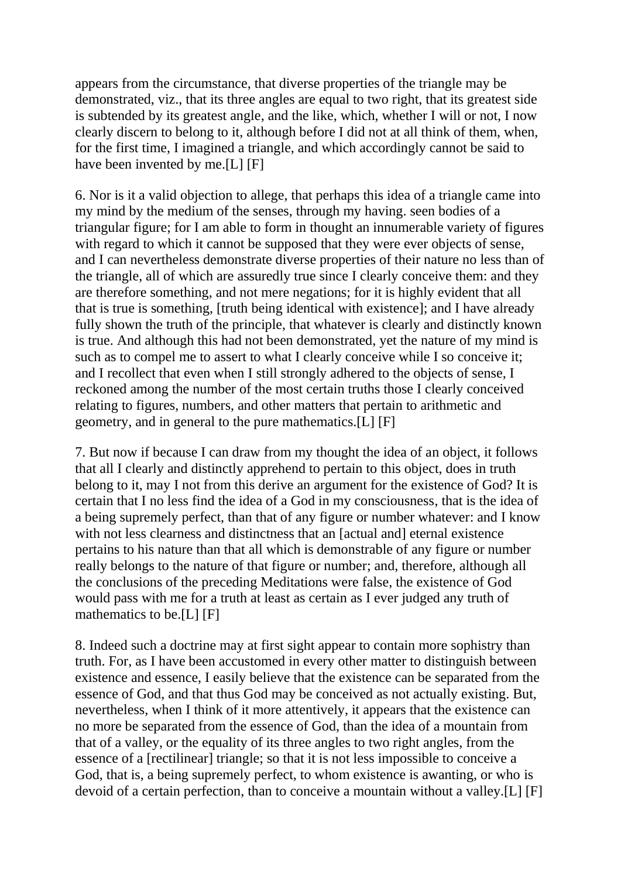appears from the circumstance, that diverse properties of the triangle may be demonstrated, viz., that its three angles are equal to two right, that its greatest side is subtended by its greatest angle, and the like, which, whether I will or not, I now clearly discern to belong to it, although before I did not at all think of them, when, for the first time, I imagined a triangle, and which accordingly cannot be said to have been invented by me.[L] [F]

6. Nor is it a valid objection to allege, that perhaps this idea of a triangle came into my mind by the medium of the senses, through my having. seen bodies of a triangular figure; for I am able to form in thought an innumerable variety of figures with regard to which it cannot be supposed that they were ever objects of sense, and I can nevertheless demonstrate diverse properties of their nature no less than of the triangle, all of which are assuredly true since I clearly conceive them: and they are therefore something, and not mere negations; for it is highly evident that all that is true is something, [truth being identical with existence]; and I have already fully shown the truth of the principle, that whatever is clearly and distinctly known is true. And although this had not been demonstrated, yet the nature of my mind is such as to compel me to assert to what I clearly conceive while I so conceive it; and I recollect that even when I still strongly adhered to the objects of sense, I reckoned among the number of the most certain truths those I clearly conceived relating to figures, numbers, and other matters that pertain to arithmetic and geometry, and in general to the pure mathematics.[L] [F]

7. But now if because I can draw from my thought the idea of an object, it follows that all I clearly and distinctly apprehend to pertain to this object, does in truth belong to it, may I not from this derive an argument for the existence of God? It is certain that I no less find the idea of a God in my consciousness, that is the idea of a being supremely perfect, than that of any figure or number whatever: and I know with not less clearness and distinctness that an [actual and] eternal existence pertains to his nature than that all which is demonstrable of any figure or number really belongs to the nature of that figure or number; and, therefore, although all the conclusions of the preceding Meditations were false, the existence of God would pass with me for a truth at least as certain as I ever judged any truth of mathematics to be.[L] [F]

8. Indeed such a doctrine may at first sight appear to contain more sophistry than truth. For, as I have been accustomed in every other matter to distinguish between existence and essence, I easily believe that the existence can be separated from the essence of God, and that thus God may be conceived as not actually existing. But, nevertheless, when I think of it more attentively, it appears that the existence can no more be separated from the essence of God, than the idea of a mountain from that of a valley, or the equality of its three angles to two right angles, from the essence of a [rectilinear] triangle; so that it is not less impossible to conceive a God, that is, a being supremely perfect, to whom existence is awanting, or who is devoid of a certain perfection, than to conceive a mountain without a valley.[L] [F]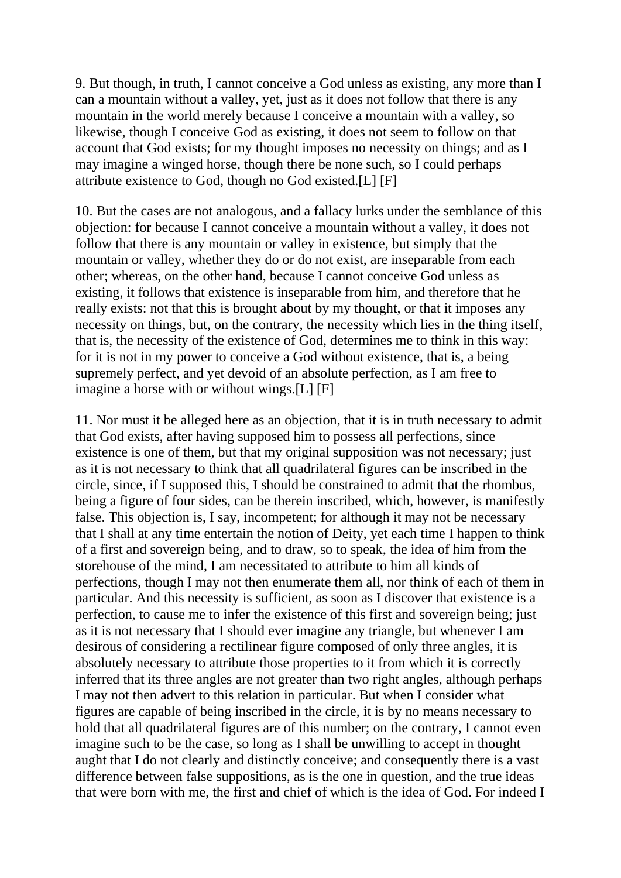9. But though, in truth, I cannot conceive a God unless as existing, any more than I can a mountain without a valley, yet, just as it does not follow that there is any mountain in the world merely because I conceive a mountain with a valley, so likewise, though I conceive God as existing, it does not seem to follow on that account that God exists; for my thought imposes no necessity on things; and as I may imagine a winged horse, though there be none such, so I could perhaps attribute existence to God, though no God existed.[L] [F]

10. But the cases are not analogous, and a fallacy lurks under the semblance of this objection: for because I cannot conceive a mountain without a valley, it does not follow that there is any mountain or valley in existence, but simply that the mountain or valley, whether they do or do not exist, are inseparable from each other; whereas, on the other hand, because I cannot conceive God unless as existing, it follows that existence is inseparable from him, and therefore that he really exists: not that this is brought about by my thought, or that it imposes any necessity on things, but, on the contrary, the necessity which lies in the thing itself, that is, the necessity of the existence of God, determines me to think in this way: for it is not in my power to conceive a God without existence, that is, a being supremely perfect, and yet devoid of an absolute perfection, as I am free to imagine a horse with or without wings.[L] [F]

11. Nor must it be alleged here as an objection, that it is in truth necessary to admit that God exists, after having supposed him to possess all perfections, since existence is one of them, but that my original supposition was not necessary; just as it is not necessary to think that all quadrilateral figures can be inscribed in the circle, since, if I supposed this, I should be constrained to admit that the rhombus, being a figure of four sides, can be therein inscribed, which, however, is manifestly false. This objection is, I say, incompetent; for although it may not be necessary that I shall at any time entertain the notion of Deity, yet each time I happen to think of a first and sovereign being, and to draw, so to speak, the idea of him from the storehouse of the mind, I am necessitated to attribute to him all kinds of perfections, though I may not then enumerate them all, nor think of each of them in particular. And this necessity is sufficient, as soon as I discover that existence is a perfection, to cause me to infer the existence of this first and sovereign being; just as it is not necessary that I should ever imagine any triangle, but whenever I am desirous of considering a rectilinear figure composed of only three angles, it is absolutely necessary to attribute those properties to it from which it is correctly inferred that its three angles are not greater than two right angles, although perhaps I may not then advert to this relation in particular. But when I consider what figures are capable of being inscribed in the circle, it is by no means necessary to hold that all quadrilateral figures are of this number; on the contrary, I cannot even imagine such to be the case, so long as I shall be unwilling to accept in thought aught that I do not clearly and distinctly conceive; and consequently there is a vast difference between false suppositions, as is the one in question, and the true ideas that were born with me, the first and chief of which is the idea of God. For indeed I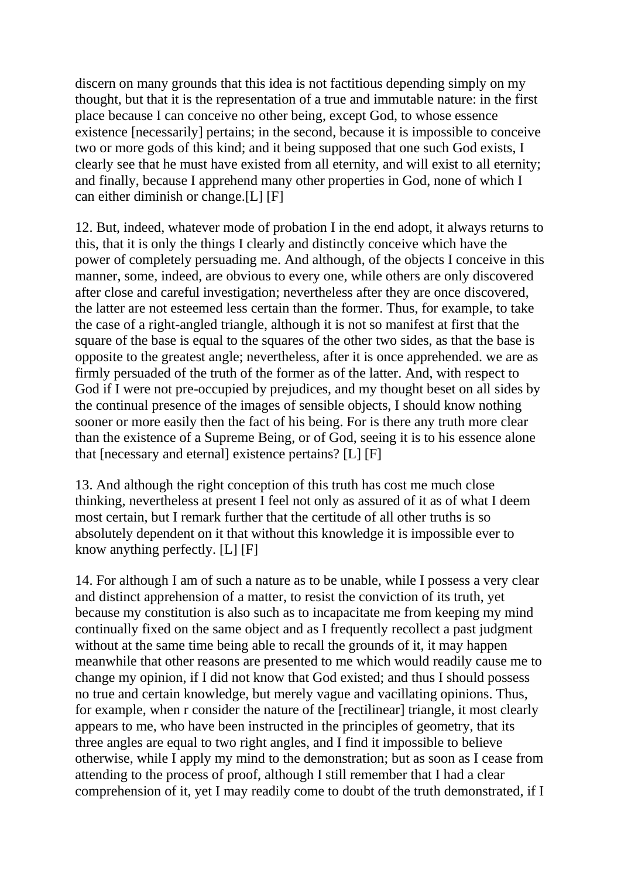discern on many grounds that this idea is not factitious depending simply on my thought, but that it is the representation of a true and immutable nature: in the first place because I can conceive no other being, except God, to whose essence existence [necessarily] pertains; in the second, because it is impossible to conceive two or more gods of this kind; and it being supposed that one such God exists, I clearly see that he must have existed from all eternity, and will exist to all eternity; and finally, because I apprehend many other properties in God, none of which I can either diminish or change.[L] [F]

12. But, indeed, whatever mode of probation I in the end adopt, it always returns to this, that it is only the things I clearly and distinctly conceive which have the power of completely persuading me. And although, of the objects I conceive in this manner, some, indeed, are obvious to every one, while others are only discovered after close and careful investigation; nevertheless after they are once discovered, the latter are not esteemed less certain than the former. Thus, for example, to take the case of a right-angled triangle, although it is not so manifest at first that the square of the base is equal to the squares of the other two sides, as that the base is opposite to the greatest angle; nevertheless, after it is once apprehended. we are as firmly persuaded of the truth of the former as of the latter. And, with respect to God if I were not pre-occupied by prejudices, and my thought beset on all sides by the continual presence of the images of sensible objects, I should know nothing sooner or more easily then the fact of his being. For is there any truth more clear than the existence of a Supreme Being, or of God, seeing it is to his essence alone that [necessary and eternal] existence pertains? [L] [F]

13. And although the right conception of this truth has cost me much close thinking, nevertheless at present I feel not only as assured of it as of what I deem most certain, but I remark further that the certitude of all other truths is so absolutely dependent on it that without this knowledge it is impossible ever to know anything perfectly. [L] [F]

14. For although I am of such a nature as to be unable, while I possess a very clear and distinct apprehension of a matter, to resist the conviction of its truth, yet because my constitution is also such as to incapacitate me from keeping my mind continually fixed on the same object and as I frequently recollect a past judgment without at the same time being able to recall the grounds of it, it may happen meanwhile that other reasons are presented to me which would readily cause me to change my opinion, if I did not know that God existed; and thus I should possess no true and certain knowledge, but merely vague and vacillating opinions. Thus, for example, when r consider the nature of the [rectilinear] triangle, it most clearly appears to me, who have been instructed in the principles of geometry, that its three angles are equal to two right angles, and I find it impossible to believe otherwise, while I apply my mind to the demonstration; but as soon as I cease from attending to the process of proof, although I still remember that I had a clear comprehension of it, yet I may readily come to doubt of the truth demonstrated, if I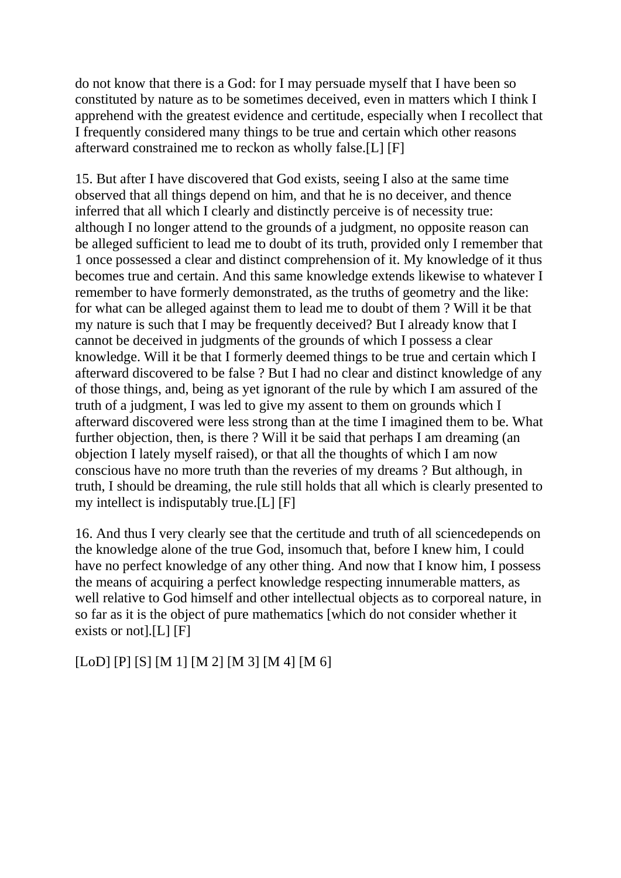do not know that there is a God: for I may persuade myself that I have been so constituted by nature as to be sometimes deceived, even in matters which I think I apprehend with the greatest evidence and certitude, especially when I recollect that I frequently considered many things to be true and certain which other reasons afterward constrained me to reckon as wholly false.[L] [F]

15. But after I have discovered that God exists, seeing I also at the same time observed that all things depend on him, and that he is no deceiver, and thence inferred that all which I clearly and distinctly perceive is of necessity true: although I no longer attend to the grounds of a judgment, no opposite reason can be alleged sufficient to lead me to doubt of its truth, provided only I remember that 1 once possessed a clear and distinct comprehension of it. My knowledge of it thus becomes true and certain. And this same knowledge extends likewise to whatever I remember to have formerly demonstrated, as the truths of geometry and the like: for what can be alleged against them to lead me to doubt of them ? Will it be that my nature is such that I may be frequently deceived? But I already know that I cannot be deceived in judgments of the grounds of which I possess a clear knowledge. Will it be that I formerly deemed things to be true and certain which I afterward discovered to be false ? But I had no clear and distinct knowledge of any of those things, and, being as yet ignorant of the rule by which I am assured of the truth of a judgment, I was led to give my assent to them on grounds which I afterward discovered were less strong than at the time I imagined them to be. What further objection, then, is there ? Will it be said that perhaps I am dreaming (an objection I lately myself raised), or that all the thoughts of which I am now conscious have no more truth than the reveries of my dreams ? But although, in truth, I should be dreaming, the rule still holds that all which is clearly presented to my intellect is indisputably true.[L] [F]

16. And thus I very clearly see that the certitude and truth of all sciencedepends on the knowledge alone of the true God, insomuch that, before I knew him, I could have no perfect knowledge of any other thing. And now that I know him, I possess the means of acquiring a perfect knowledge respecting innumerable matters, as well relative to God himself and other intellectual objects as to corporeal nature, in so far as it is the object of pure mathematics [which do not consider whether it exists or not].[L] [F]

[LoD] [P] [S] [M 1] [M 2] [M 3] [M 4] [M 6]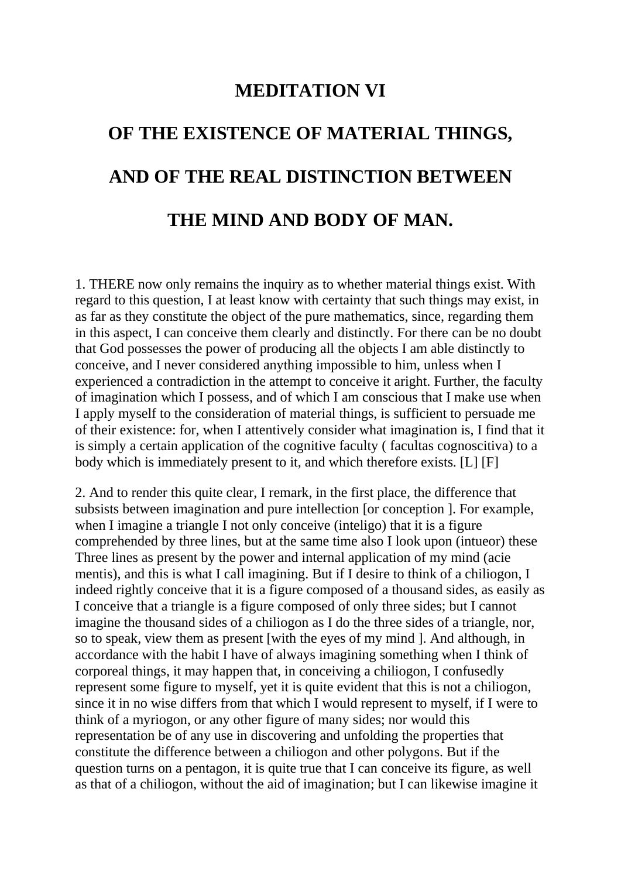#### **MEDITATION VI**

## **OF THE EXISTENCE OF MATERIAL THINGS, AND OF THE REAL DISTINCTION BETWEEN THE MIND AND BODY OF MAN.**

1. THERE now only remains the inquiry as to whether material things exist. With regard to this question, I at least know with certainty that such things may exist, in as far as they constitute the object of the pure mathematics, since, regarding them in this aspect, I can conceive them clearly and distinctly. For there can be no doubt that God possesses the power of producing all the objects I am able distinctly to conceive, and I never considered anything impossible to him, unless when I experienced a contradiction in the attempt to conceive it aright. Further, the faculty of imagination which I possess, and of which I am conscious that I make use when I apply myself to the consideration of material things, is sufficient to persuade me of their existence: for, when I attentively consider what imagination is, I find that it is simply a certain application of the cognitive faculty ( facultas cognoscitiva) to a body which is immediately present to it, and which therefore exists. [L] [F]

2. And to render this quite clear, I remark, in the first place, the difference that subsists between imagination and pure intellection [or conception ]. For example, when I imagine a triangle I not only conceive (inteligo) that it is a figure comprehended by three lines, but at the same time also I look upon (intueor) these Three lines as present by the power and internal application of my mind (acie mentis), and this is what I call imagining. But if I desire to think of a chiliogon, I indeed rightly conceive that it is a figure composed of a thousand sides, as easily as I conceive that a triangle is a figure composed of only three sides; but I cannot imagine the thousand sides of a chiliogon as I do the three sides of a triangle, nor, so to speak, view them as present [with the eyes of my mind ]. And although, in accordance with the habit I have of always imagining something when I think of corporeal things, it may happen that, in conceiving a chiliogon, I confusedly represent some figure to myself, yet it is quite evident that this is not a chiliogon, since it in no wise differs from that which I would represent to myself, if I were to think of a myriogon, or any other figure of many sides; nor would this representation be of any use in discovering and unfolding the properties that constitute the difference between a chiliogon and other polygons. But if the question turns on a pentagon, it is quite true that I can conceive its figure, as well as that of a chiliogon, without the aid of imagination; but I can likewise imagine it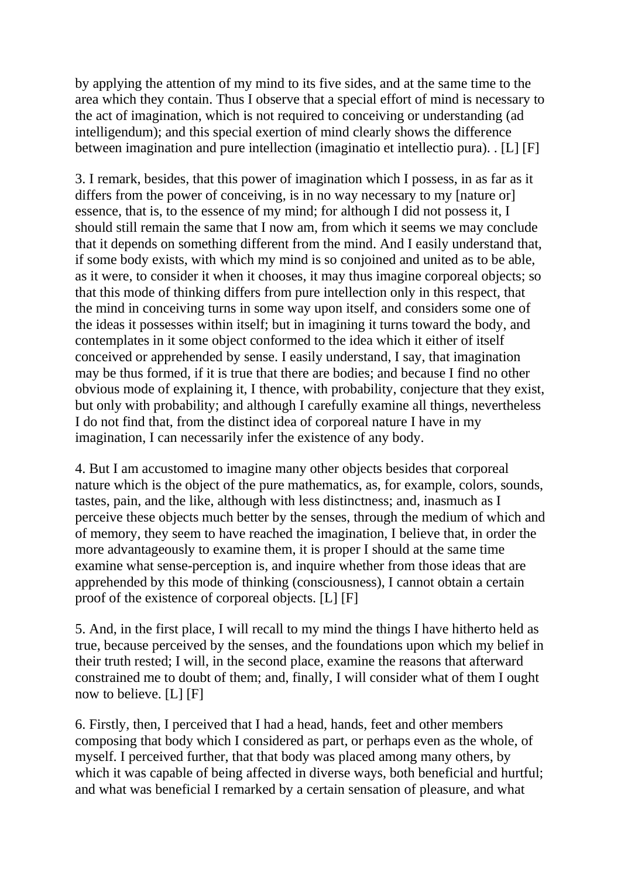by applying the attention of my mind to its five sides, and at the same time to the area which they contain. Thus I observe that a special effort of mind is necessary to the act of imagination, which is not required to conceiving or understanding (ad intelligendum); and this special exertion of mind clearly shows the difference between imagination and pure intellection (imaginatio et intellectio pura). . [L] [F]

3. I remark, besides, that this power of imagination which I possess, in as far as it differs from the power of conceiving, is in no way necessary to my [nature or] essence, that is, to the essence of my mind; for although I did not possess it, I should still remain the same that I now am, from which it seems we may conclude that it depends on something different from the mind. And I easily understand that, if some body exists, with which my mind is so conjoined and united as to be able, as it were, to consider it when it chooses, it may thus imagine corporeal objects; so that this mode of thinking differs from pure intellection only in this respect, that the mind in conceiving turns in some way upon itself, and considers some one of the ideas it possesses within itself; but in imagining it turns toward the body, and contemplates in it some object conformed to the idea which it either of itself conceived or apprehended by sense. I easily understand, I say, that imagination may be thus formed, if it is true that there are bodies; and because I find no other obvious mode of explaining it, I thence, with probability, conjecture that they exist, but only with probability; and although I carefully examine all things, nevertheless I do not find that, from the distinct idea of corporeal nature I have in my imagination, I can necessarily infer the existence of any body.

4. But I am accustomed to imagine many other objects besides that corporeal nature which is the object of the pure mathematics, as, for example, colors, sounds, tastes, pain, and the like, although with less distinctness; and, inasmuch as I perceive these objects much better by the senses, through the medium of which and of memory, they seem to have reached the imagination, I believe that, in order the more advantageously to examine them, it is proper I should at the same time examine what sense-perception is, and inquire whether from those ideas that are apprehended by this mode of thinking (consciousness), I cannot obtain a certain proof of the existence of corporeal objects. [L] [F]

5. And, in the first place, I will recall to my mind the things I have hitherto held as true, because perceived by the senses, and the foundations upon which my belief in their truth rested; I will, in the second place, examine the reasons that afterward constrained me to doubt of them; and, finally, I will consider what of them I ought now to believe. [L] [F]

6. Firstly, then, I perceived that I had a head, hands, feet and other members composing that body which I considered as part, or perhaps even as the whole, of myself. I perceived further, that that body was placed among many others, by which it was capable of being affected in diverse ways, both beneficial and hurtful; and what was beneficial I remarked by a certain sensation of pleasure, and what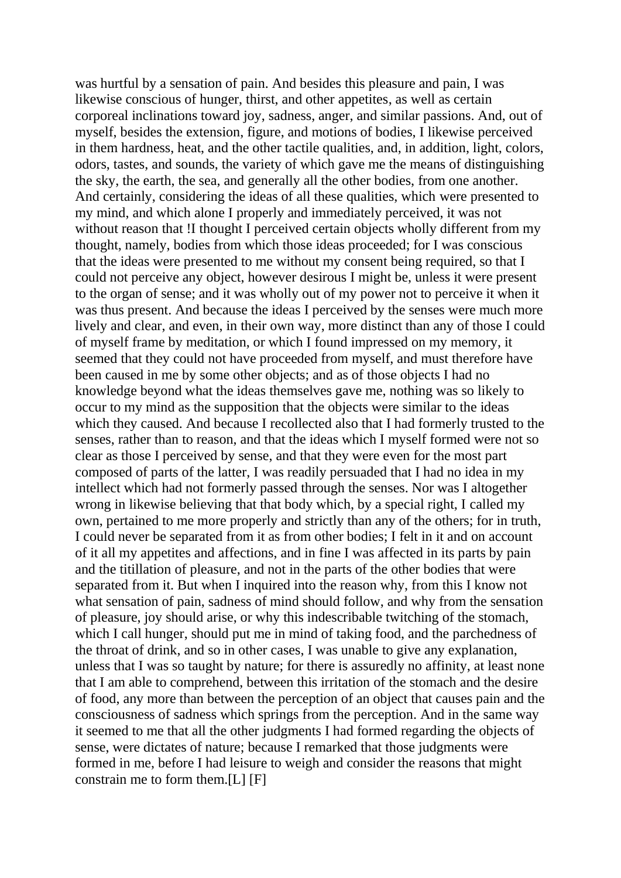was hurtful by a sensation of pain. And besides this pleasure and pain, I was likewise conscious of hunger, thirst, and other appetites, as well as certain corporeal inclinations toward joy, sadness, anger, and similar passions. And, out of myself, besides the extension, figure, and motions of bodies, I likewise perceived in them hardness, heat, and the other tactile qualities, and, in addition, light, colors, odors, tastes, and sounds, the variety of which gave me the means of distinguishing the sky, the earth, the sea, and generally all the other bodies, from one another. And certainly, considering the ideas of all these qualities, which were presented to my mind, and which alone I properly and immediately perceived, it was not without reason that !I thought I perceived certain objects wholly different from my thought, namely, bodies from which those ideas proceeded; for I was conscious that the ideas were presented to me without my consent being required, so that I could not perceive any object, however desirous I might be, unless it were present to the organ of sense; and it was wholly out of my power not to perceive it when it was thus present. And because the ideas I perceived by the senses were much more lively and clear, and even, in their own way, more distinct than any of those I could of myself frame by meditation, or which I found impressed on my memory, it seemed that they could not have proceeded from myself, and must therefore have been caused in me by some other objects; and as of those objects I had no knowledge beyond what the ideas themselves gave me, nothing was so likely to occur to my mind as the supposition that the objects were similar to the ideas which they caused. And because I recollected also that I had formerly trusted to the senses, rather than to reason, and that the ideas which I myself formed were not so clear as those I perceived by sense, and that they were even for the most part composed of parts of the latter, I was readily persuaded that I had no idea in my intellect which had not formerly passed through the senses. Nor was I altogether wrong in likewise believing that that body which, by a special right, I called my own, pertained to me more properly and strictly than any of the others; for in truth, I could never be separated from it as from other bodies; I felt in it and on account of it all my appetites and affections, and in fine I was affected in its parts by pain and the titillation of pleasure, and not in the parts of the other bodies that were separated from it. But when I inquired into the reason why, from this I know not what sensation of pain, sadness of mind should follow, and why from the sensation of pleasure, joy should arise, or why this indescribable twitching of the stomach, which I call hunger, should put me in mind of taking food, and the parchedness of the throat of drink, and so in other cases, I was unable to give any explanation, unless that I was so taught by nature; for there is assuredly no affinity, at least none that I am able to comprehend, between this irritation of the stomach and the desire of food, any more than between the perception of an object that causes pain and the consciousness of sadness which springs from the perception. And in the same way it seemed to me that all the other judgments I had formed regarding the objects of sense, were dictates of nature; because I remarked that those judgments were formed in me, before I had leisure to weigh and consider the reasons that might constrain me to form them.[L] [F]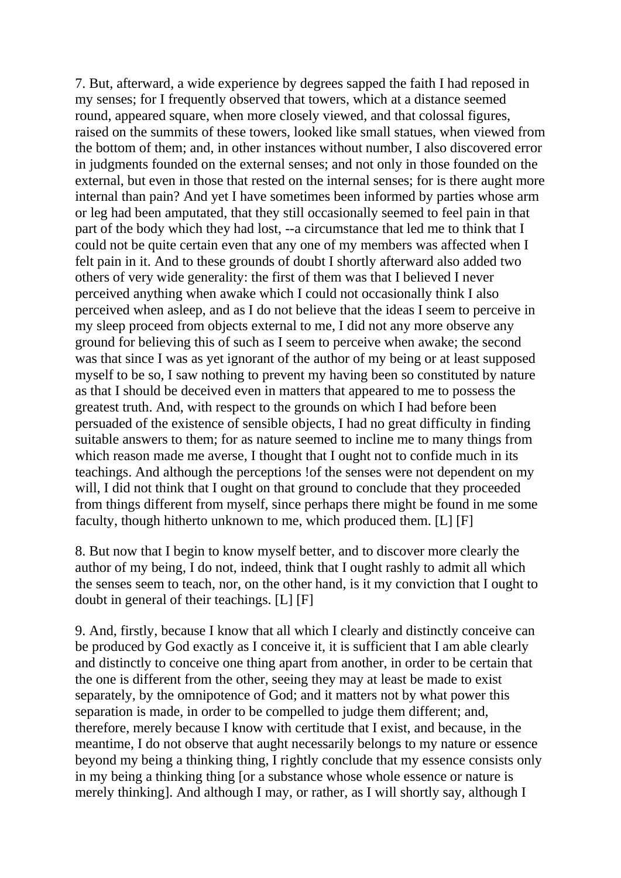7. But, afterward, a wide experience by degrees sapped the faith I had reposed in my senses; for I frequently observed that towers, which at a distance seemed round, appeared square, when more closely viewed, and that colossal figures, raised on the summits of these towers, looked like small statues, when viewed from the bottom of them; and, in other instances without number, I also discovered error in judgments founded on the external senses; and not only in those founded on the external, but even in those that rested on the internal senses; for is there aught more internal than pain? And yet I have sometimes been informed by parties whose arm or leg had been amputated, that they still occasionally seemed to feel pain in that part of the body which they had lost, --a circumstance that led me to think that I could not be quite certain even that any one of my members was affected when I felt pain in it. And to these grounds of doubt I shortly afterward also added two others of very wide generality: the first of them was that I believed I never perceived anything when awake which I could not occasionally think I also perceived when asleep, and as I do not believe that the ideas I seem to perceive in my sleep proceed from objects external to me, I did not any more observe any ground for believing this of such as I seem to perceive when awake; the second was that since I was as yet ignorant of the author of my being or at least supposed myself to be so, I saw nothing to prevent my having been so constituted by nature as that I should be deceived even in matters that appeared to me to possess the greatest truth. And, with respect to the grounds on which I had before been persuaded of the existence of sensible objects, I had no great difficulty in finding suitable answers to them; for as nature seemed to incline me to many things from which reason made me averse, I thought that I ought not to confide much in its teachings. And although the perceptions !of the senses were not dependent on my will, I did not think that I ought on that ground to conclude that they proceeded from things different from myself, since perhaps there might be found in me some faculty, though hitherto unknown to me, which produced them. [L] [F]

8. But now that I begin to know myself better, and to discover more clearly the author of my being, I do not, indeed, think that I ought rashly to admit all which the senses seem to teach, nor, on the other hand, is it my conviction that I ought to doubt in general of their teachings. [L] [F]

9. And, firstly, because I know that all which I clearly and distinctly conceive can be produced by God exactly as I conceive it, it is sufficient that I am able clearly and distinctly to conceive one thing apart from another, in order to be certain that the one is different from the other, seeing they may at least be made to exist separately, by the omnipotence of God; and it matters not by what power this separation is made, in order to be compelled to judge them different; and, therefore, merely because I know with certitude that I exist, and because, in the meantime, I do not observe that aught necessarily belongs to my nature or essence beyond my being a thinking thing, I rightly conclude that my essence consists only in my being a thinking thing [or a substance whose whole essence or nature is merely thinking]. And although I may, or rather, as I will shortly say, although I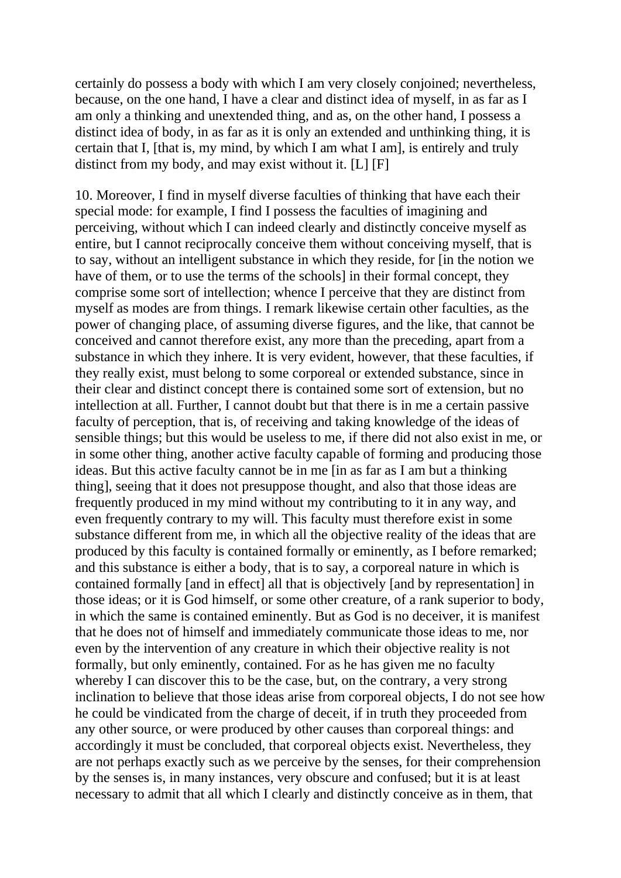certainly do possess a body with which I am very closely conjoined; nevertheless, because, on the one hand, I have a clear and distinct idea of myself, in as far as I am only a thinking and unextended thing, and as, on the other hand, I possess a distinct idea of body, in as far as it is only an extended and unthinking thing, it is certain that I, [that is, my mind, by which I am what I am], is entirely and truly distinct from my body, and may exist without it. [L] [F]

10. Moreover, I find in myself diverse faculties of thinking that have each their special mode: for example, I find I possess the faculties of imagining and perceiving, without which I can indeed clearly and distinctly conceive myself as entire, but I cannot reciprocally conceive them without conceiving myself, that is to say, without an intelligent substance in which they reside, for [in the notion we have of them, or to use the terms of the schools] in their formal concept, they comprise some sort of intellection; whence I perceive that they are distinct from myself as modes are from things. I remark likewise certain other faculties, as the power of changing place, of assuming diverse figures, and the like, that cannot be conceived and cannot therefore exist, any more than the preceding, apart from a substance in which they inhere. It is very evident, however, that these faculties, if they really exist, must belong to some corporeal or extended substance, since in their clear and distinct concept there is contained some sort of extension, but no intellection at all. Further, I cannot doubt but that there is in me a certain passive faculty of perception, that is, of receiving and taking knowledge of the ideas of sensible things; but this would be useless to me, if there did not also exist in me, or in some other thing, another active faculty capable of forming and producing those ideas. But this active faculty cannot be in me [in as far as I am but a thinking thing], seeing that it does not presuppose thought, and also that those ideas are frequently produced in my mind without my contributing to it in any way, and even frequently contrary to my will. This faculty must therefore exist in some substance different from me, in which all the objective reality of the ideas that are produced by this faculty is contained formally or eminently, as I before remarked; and this substance is either a body, that is to say, a corporeal nature in which is contained formally [and in effect] all that is objectively [and by representation] in those ideas; or it is God himself, or some other creature, of a rank superior to body, in which the same is contained eminently. But as God is no deceiver, it is manifest that he does not of himself and immediately communicate those ideas to me, nor even by the intervention of any creature in which their objective reality is not formally, but only eminently, contained. For as he has given me no faculty whereby I can discover this to be the case, but, on the contrary, a very strong inclination to believe that those ideas arise from corporeal objects, I do not see how he could be vindicated from the charge of deceit, if in truth they proceeded from any other source, or were produced by other causes than corporeal things: and accordingly it must be concluded, that corporeal objects exist. Nevertheless, they are not perhaps exactly such as we perceive by the senses, for their comprehension by the senses is, in many instances, very obscure and confused; but it is at least necessary to admit that all which I clearly and distinctly conceive as in them, that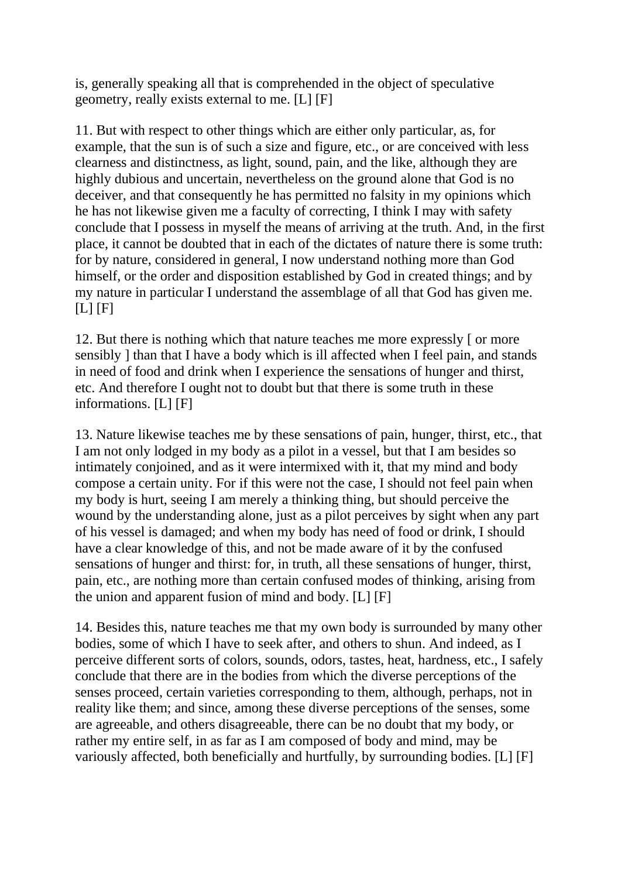is, generally speaking all that is comprehended in the object of speculative geometry, really exists external to me. [L] [F]

11. But with respect to other things which are either only particular, as, for example, that the sun is of such a size and figure, etc., or are conceived with less clearness and distinctness, as light, sound, pain, and the like, although they are highly dubious and uncertain, nevertheless on the ground alone that God is no deceiver, and that consequently he has permitted no falsity in my opinions which he has not likewise given me a faculty of correcting, I think I may with safety conclude that I possess in myself the means of arriving at the truth. And, in the first place, it cannot be doubted that in each of the dictates of nature there is some truth: for by nature, considered in general, I now understand nothing more than God himself, or the order and disposition established by God in created things; and by my nature in particular I understand the assemblage of all that God has given me.  $[L]$   $[F]$ 

12. But there is nothing which that nature teaches me more expressly [ or more sensibly ] than that I have a body which is ill affected when I feel pain, and stands in need of food and drink when I experience the sensations of hunger and thirst, etc. And therefore I ought not to doubt but that there is some truth in these informations. [L] [F]

13. Nature likewise teaches me by these sensations of pain, hunger, thirst, etc., that I am not only lodged in my body as a pilot in a vessel, but that I am besides so intimately conjoined, and as it were intermixed with it, that my mind and body compose a certain unity. For if this were not the case, I should not feel pain when my body is hurt, seeing I am merely a thinking thing, but should perceive the wound by the understanding alone, just as a pilot perceives by sight when any part of his vessel is damaged; and when my body has need of food or drink, I should have a clear knowledge of this, and not be made aware of it by the confused sensations of hunger and thirst: for, in truth, all these sensations of hunger, thirst, pain, etc., are nothing more than certain confused modes of thinking, arising from the union and apparent fusion of mind and body. [L] [F]

14. Besides this, nature teaches me that my own body is surrounded by many other bodies, some of which I have to seek after, and others to shun. And indeed, as I perceive different sorts of colors, sounds, odors, tastes, heat, hardness, etc., I safely conclude that there are in the bodies from which the diverse perceptions of the senses proceed, certain varieties corresponding to them, although, perhaps, not in reality like them; and since, among these diverse perceptions of the senses, some are agreeable, and others disagreeable, there can be no doubt that my body, or rather my entire self, in as far as I am composed of body and mind, may be variously affected, both beneficially and hurtfully, by surrounding bodies. [L] [F]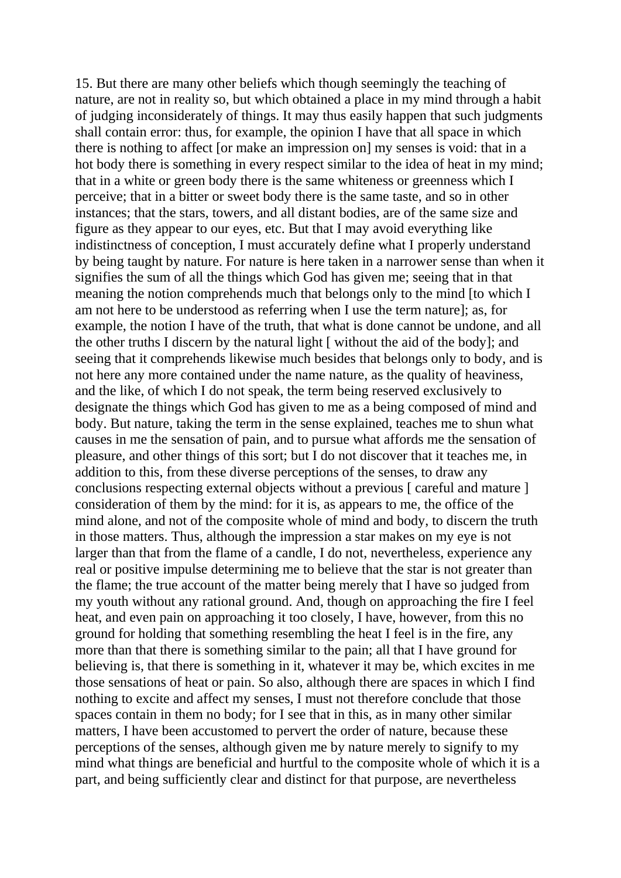15. But there are many other beliefs which though seemingly the teaching of nature, are not in reality so, but which obtained a place in my mind through a habit of judging inconsiderately of things. It may thus easily happen that such judgments shall contain error: thus, for example, the opinion I have that all space in which there is nothing to affect [or make an impression on] my senses is void: that in a hot body there is something in every respect similar to the idea of heat in my mind; that in a white or green body there is the same whiteness or greenness which I perceive; that in a bitter or sweet body there is the same taste, and so in other instances; that the stars, towers, and all distant bodies, are of the same size and figure as they appear to our eyes, etc. But that I may avoid everything like indistinctness of conception, I must accurately define what I properly understand by being taught by nature. For nature is here taken in a narrower sense than when it signifies the sum of all the things which God has given me; seeing that in that meaning the notion comprehends much that belongs only to the mind [to which I am not here to be understood as referring when I use the term nature]; as, for example, the notion I have of the truth, that what is done cannot be undone, and all the other truths I discern by the natural light [ without the aid of the body]; and seeing that it comprehends likewise much besides that belongs only to body, and is not here any more contained under the name nature, as the quality of heaviness, and the like, of which I do not speak, the term being reserved exclusively to designate the things which God has given to me as a being composed of mind and body. But nature, taking the term in the sense explained, teaches me to shun what causes in me the sensation of pain, and to pursue what affords me the sensation of pleasure, and other things of this sort; but I do not discover that it teaches me, in addition to this, from these diverse perceptions of the senses, to draw any conclusions respecting external objects without a previous [ careful and mature ] consideration of them by the mind: for it is, as appears to me, the office of the mind alone, and not of the composite whole of mind and body, to discern the truth in those matters. Thus, although the impression a star makes on my eye is not larger than that from the flame of a candle, I do not, nevertheless, experience any real or positive impulse determining me to believe that the star is not greater than the flame; the true account of the matter being merely that I have so judged from my youth without any rational ground. And, though on approaching the fire I feel heat, and even pain on approaching it too closely, I have, however, from this no ground for holding that something resembling the heat I feel is in the fire, any more than that there is something similar to the pain; all that I have ground for believing is, that there is something in it, whatever it may be, which excites in me those sensations of heat or pain. So also, although there are spaces in which I find nothing to excite and affect my senses, I must not therefore conclude that those spaces contain in them no body; for I see that in this, as in many other similar matters, I have been accustomed to pervert the order of nature, because these perceptions of the senses, although given me by nature merely to signify to my mind what things are beneficial and hurtful to the composite whole of which it is a part, and being sufficiently clear and distinct for that purpose, are nevertheless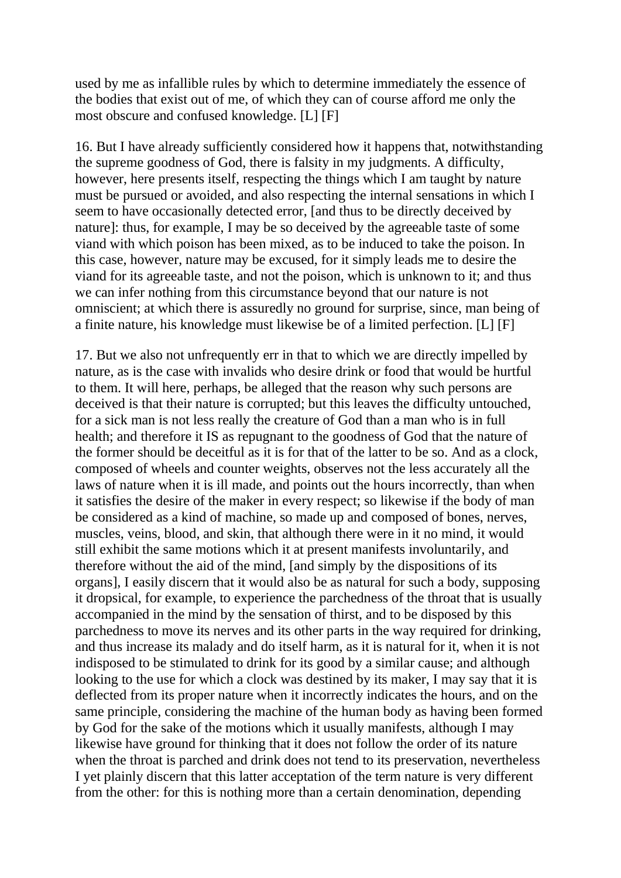used by me as infallible rules by which to determine immediately the essence of the bodies that exist out of me, of which they can of course afford me only the most obscure and confused knowledge. [L] [F]

16. But I have already sufficiently considered how it happens that, notwithstanding the supreme goodness of God, there is falsity in my judgments. A difficulty, however, here presents itself, respecting the things which I am taught by nature must be pursued or avoided, and also respecting the internal sensations in which I seem to have occasionally detected error, [and thus to be directly deceived by nature]: thus, for example, I may be so deceived by the agreeable taste of some viand with which poison has been mixed, as to be induced to take the poison. In this case, however, nature may be excused, for it simply leads me to desire the viand for its agreeable taste, and not the poison, which is unknown to it; and thus we can infer nothing from this circumstance beyond that our nature is not omniscient; at which there is assuredly no ground for surprise, since, man being of a finite nature, his knowledge must likewise be of a limited perfection. [L] [F]

17. But we also not unfrequently err in that to which we are directly impelled by nature, as is the case with invalids who desire drink or food that would be hurtful to them. It will here, perhaps, be alleged that the reason why such persons are deceived is that their nature is corrupted; but this leaves the difficulty untouched, for a sick man is not less really the creature of God than a man who is in full health; and therefore it IS as repugnant to the goodness of God that the nature of the former should be deceitful as it is for that of the latter to be so. And as a clock, composed of wheels and counter weights, observes not the less accurately all the laws of nature when it is ill made, and points out the hours incorrectly, than when it satisfies the desire of the maker in every respect; so likewise if the body of man be considered as a kind of machine, so made up and composed of bones, nerves, muscles, veins, blood, and skin, that although there were in it no mind, it would still exhibit the same motions which it at present manifests involuntarily, and therefore without the aid of the mind, [and simply by the dispositions of its organs], I easily discern that it would also be as natural for such a body, supposing it dropsical, for example, to experience the parchedness of the throat that is usually accompanied in the mind by the sensation of thirst, and to be disposed by this parchedness to move its nerves and its other parts in the way required for drinking, and thus increase its malady and do itself harm, as it is natural for it, when it is not indisposed to be stimulated to drink for its good by a similar cause; and although looking to the use for which a clock was destined by its maker, I may say that it is deflected from its proper nature when it incorrectly indicates the hours, and on the same principle, considering the machine of the human body as having been formed by God for the sake of the motions which it usually manifests, although I may likewise have ground for thinking that it does not follow the order of its nature when the throat is parched and drink does not tend to its preservation, nevertheless I yet plainly discern that this latter acceptation of the term nature is very different from the other: for this is nothing more than a certain denomination, depending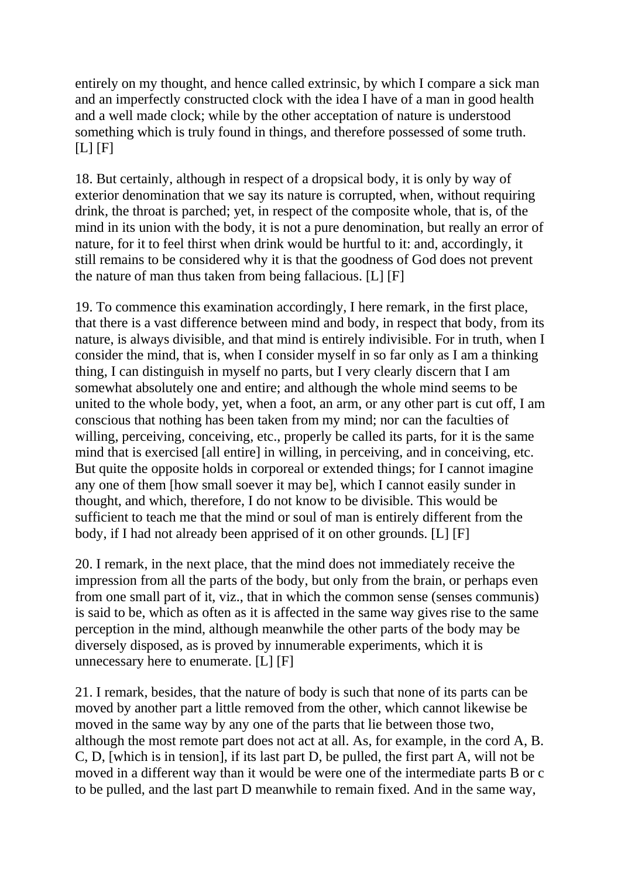entirely on my thought, and hence called extrinsic, by which I compare a sick man and an imperfectly constructed clock with the idea I have of a man in good health and a well made clock; while by the other acceptation of nature is understood something which is truly found in things, and therefore possessed of some truth.  $[L]$   $[F]$ 

18. But certainly, although in respect of a dropsical body, it is only by way of exterior denomination that we say its nature is corrupted, when, without requiring drink, the throat is parched; yet, in respect of the composite whole, that is, of the mind in its union with the body, it is not a pure denomination, but really an error of nature, for it to feel thirst when drink would be hurtful to it: and, accordingly, it still remains to be considered why it is that the goodness of God does not prevent the nature of man thus taken from being fallacious. [L] [F]

19. To commence this examination accordingly, I here remark, in the first place, that there is a vast difference between mind and body, in respect that body, from its nature, is always divisible, and that mind is entirely indivisible. For in truth, when I consider the mind, that is, when I consider myself in so far only as I am a thinking thing, I can distinguish in myself no parts, but I very clearly discern that I am somewhat absolutely one and entire; and although the whole mind seems to be united to the whole body, yet, when a foot, an arm, or any other part is cut off, I am conscious that nothing has been taken from my mind; nor can the faculties of willing, perceiving, conceiving, etc., properly be called its parts, for it is the same mind that is exercised [all entire] in willing, in perceiving, and in conceiving, etc. But quite the opposite holds in corporeal or extended things; for I cannot imagine any one of them [how small soever it may be], which I cannot easily sunder in thought, and which, therefore, I do not know to be divisible. This would be sufficient to teach me that the mind or soul of man is entirely different from the body, if I had not already been apprised of it on other grounds. [L] [F]

20. I remark, in the next place, that the mind does not immediately receive the impression from all the parts of the body, but only from the brain, or perhaps even from one small part of it, viz., that in which the common sense (senses communis) is said to be, which as often as it is affected in the same way gives rise to the same perception in the mind, although meanwhile the other parts of the body may be diversely disposed, as is proved by innumerable experiments, which it is unnecessary here to enumerate. [L] [F]

21. I remark, besides, that the nature of body is such that none of its parts can be moved by another part a little removed from the other, which cannot likewise be moved in the same way by any one of the parts that lie between those two, although the most remote part does not act at all. As, for example, in the cord A, B. C, D, [which is in tension], if its last part D, be pulled, the first part A, will not be moved in a different way than it would be were one of the intermediate parts B or c to be pulled, and the last part D meanwhile to remain fixed. And in the same way,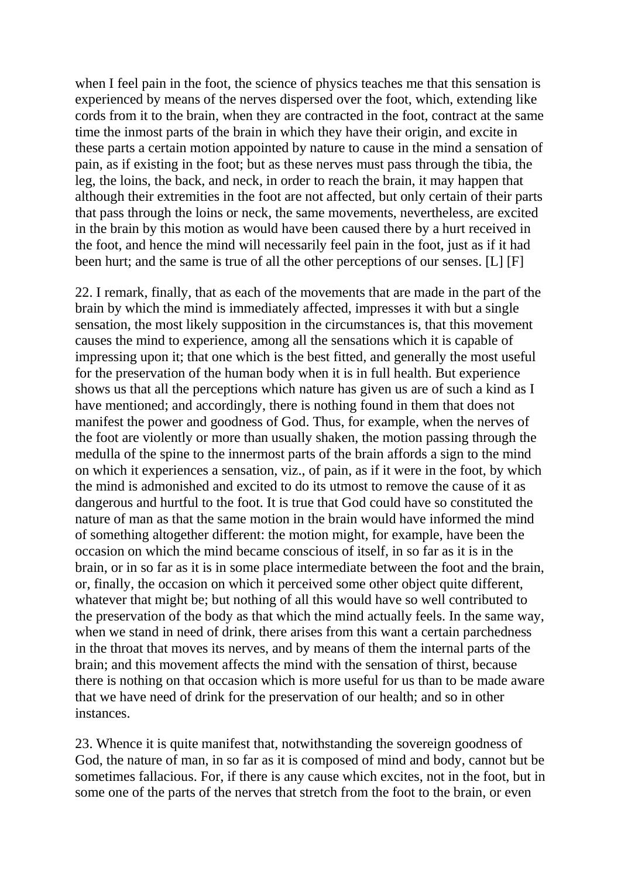when I feel pain in the foot, the science of physics teaches me that this sensation is experienced by means of the nerves dispersed over the foot, which, extending like cords from it to the brain, when they are contracted in the foot, contract at the same time the inmost parts of the brain in which they have their origin, and excite in these parts a certain motion appointed by nature to cause in the mind a sensation of pain, as if existing in the foot; but as these nerves must pass through the tibia, the leg, the loins, the back, and neck, in order to reach the brain, it may happen that although their extremities in the foot are not affected, but only certain of their parts that pass through the loins or neck, the same movements, nevertheless, are excited in the brain by this motion as would have been caused there by a hurt received in the foot, and hence the mind will necessarily feel pain in the foot, just as if it had been hurt; and the same is true of all the other perceptions of our senses. [L] [F]

22. I remark, finally, that as each of the movements that are made in the part of the brain by which the mind is immediately affected, impresses it with but a single sensation, the most likely supposition in the circumstances is, that this movement causes the mind to experience, among all the sensations which it is capable of impressing upon it; that one which is the best fitted, and generally the most useful for the preservation of the human body when it is in full health. But experience shows us that all the perceptions which nature has given us are of such a kind as I have mentioned; and accordingly, there is nothing found in them that does not manifest the power and goodness of God. Thus, for example, when the nerves of the foot are violently or more than usually shaken, the motion passing through the medulla of the spine to the innermost parts of the brain affords a sign to the mind on which it experiences a sensation, viz., of pain, as if it were in the foot, by which the mind is admonished and excited to do its utmost to remove the cause of it as dangerous and hurtful to the foot. It is true that God could have so constituted the nature of man as that the same motion in the brain would have informed the mind of something altogether different: the motion might, for example, have been the occasion on which the mind became conscious of itself, in so far as it is in the brain, or in so far as it is in some place intermediate between the foot and the brain, or, finally, the occasion on which it perceived some other object quite different, whatever that might be; but nothing of all this would have so well contributed to the preservation of the body as that which the mind actually feels. In the same way, when we stand in need of drink, there arises from this want a certain parchedness in the throat that moves its nerves, and by means of them the internal parts of the brain; and this movement affects the mind with the sensation of thirst, because there is nothing on that occasion which is more useful for us than to be made aware that we have need of drink for the preservation of our health; and so in other instances.

23. Whence it is quite manifest that, notwithstanding the sovereign goodness of God, the nature of man, in so far as it is composed of mind and body, cannot but be sometimes fallacious. For, if there is any cause which excites, not in the foot, but in some one of the parts of the nerves that stretch from the foot to the brain, or even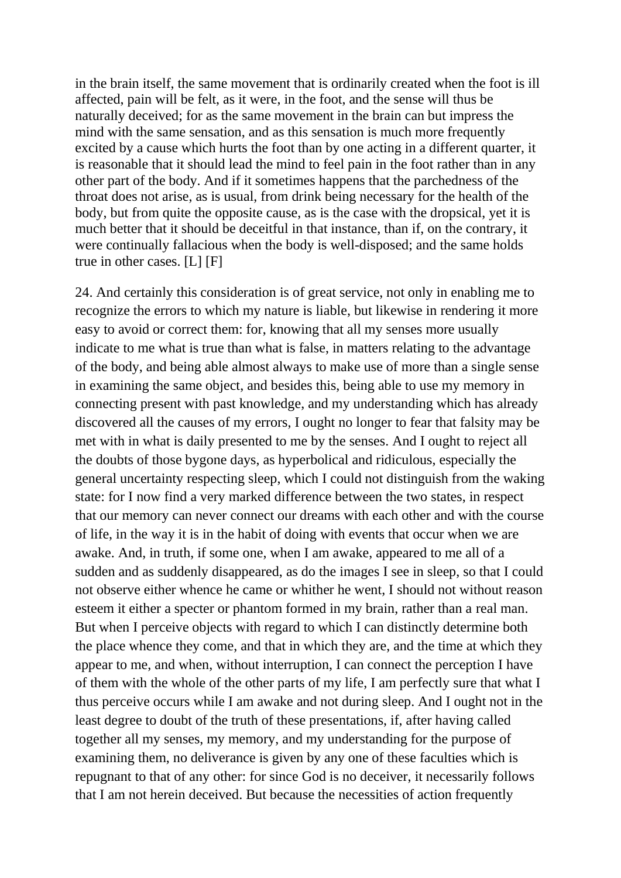in the brain itself, the same movement that is ordinarily created when the foot is ill affected, pain will be felt, as it were, in the foot, and the sense will thus be naturally deceived; for as the same movement in the brain can but impress the mind with the same sensation, and as this sensation is much more frequently excited by a cause which hurts the foot than by one acting in a different quarter, it is reasonable that it should lead the mind to feel pain in the foot rather than in any other part of the body. And if it sometimes happens that the parchedness of the throat does not arise, as is usual, from drink being necessary for the health of the body, but from quite the opposite cause, as is the case with the dropsical, yet it is much better that it should be deceitful in that instance, than if, on the contrary, it were continually fallacious when the body is well-disposed; and the same holds true in other cases. [L] [F]

24. And certainly this consideration is of great service, not only in enabling me to recognize the errors to which my nature is liable, but likewise in rendering it more easy to avoid or correct them: for, knowing that all my senses more usually indicate to me what is true than what is false, in matters relating to the advantage of the body, and being able almost always to make use of more than a single sense in examining the same object, and besides this, being able to use my memory in connecting present with past knowledge, and my understanding which has already discovered all the causes of my errors, I ought no longer to fear that falsity may be met with in what is daily presented to me by the senses. And I ought to reject all the doubts of those bygone days, as hyperbolical and ridiculous, especially the general uncertainty respecting sleep, which I could not distinguish from the waking state: for I now find a very marked difference between the two states, in respect that our memory can never connect our dreams with each other and with the course of life, in the way it is in the habit of doing with events that occur when we are awake. And, in truth, if some one, when I am awake, appeared to me all of a sudden and as suddenly disappeared, as do the images I see in sleep, so that I could not observe either whence he came or whither he went, I should not without reason esteem it either a specter or phantom formed in my brain, rather than a real man. But when I perceive objects with regard to which I can distinctly determine both the place whence they come, and that in which they are, and the time at which they appear to me, and when, without interruption, I can connect the perception I have of them with the whole of the other parts of my life, I am perfectly sure that what I thus perceive occurs while I am awake and not during sleep. And I ought not in the least degree to doubt of the truth of these presentations, if, after having called together all my senses, my memory, and my understanding for the purpose of examining them, no deliverance is given by any one of these faculties which is repugnant to that of any other: for since God is no deceiver, it necessarily follows that I am not herein deceived. But because the necessities of action frequently